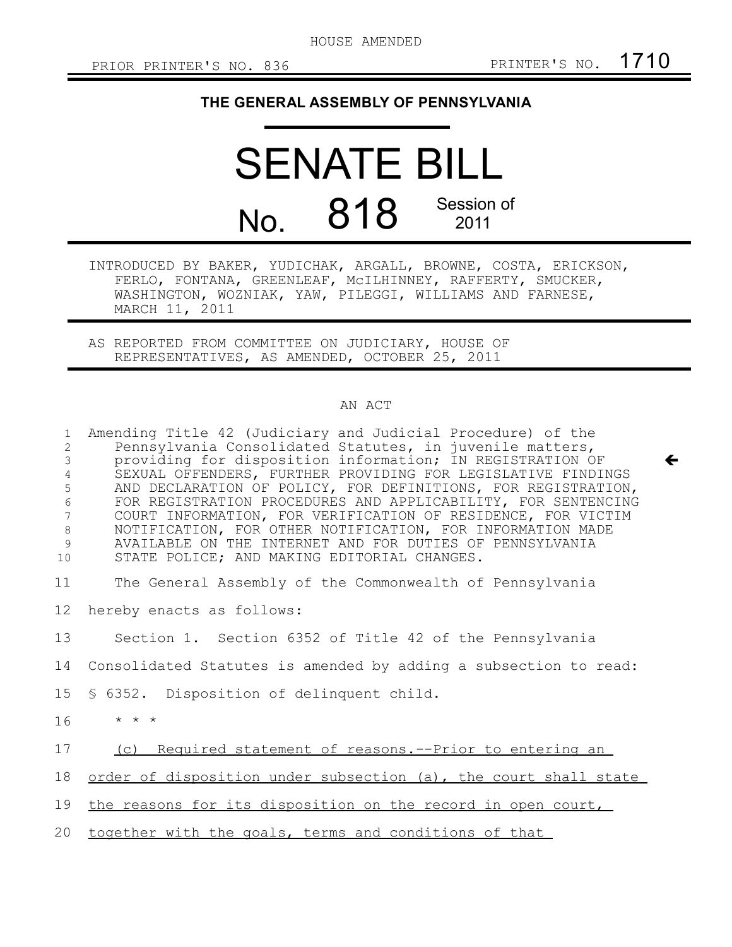HOUSE AMENDED

 $\leftarrow$ 

## **THE GENERAL ASSEMBLY OF PENNSYLVANIA**

## SENATE BILL No. 818 Session of 2011

INTRODUCED BY BAKER, YUDICHAK, ARGALL, BROWNE, COSTA, ERICKSON, FERLO, FONTANA, GREENLEAF, McILHINNEY, RAFFERTY, SMUCKER, WASHINGTON, WOZNIAK, YAW, PILEGGI, WILLIAMS AND FARNESE, MARCH 11, 2011

AS REPORTED FROM COMMITTEE ON JUDICIARY, HOUSE OF REPRESENTATIVES, AS AMENDED, OCTOBER 25, 2011

## AN ACT

| $\mathbf{1}$<br>2<br>3<br>4<br>5<br>$\epsilon$<br>$\overline{7}$<br>8<br>9<br>10 | Amending Title 42 (Judiciary and Judicial Procedure) of the<br>Pennsylvania Consolidated Statutes, in juvenile matters,<br>providing for disposition information; IN REGISTRATION OF<br>SEXUAL OFFENDERS, FURTHER PROVIDING FOR LEGISLATIVE FINDINGS<br>AND DECLARATION OF POLICY, FOR DEFINITIONS, FOR REGISTRATION,<br>FOR REGISTRATION PROCEDURES AND APPLICABILITY, FOR SENTENCING<br>COURT INFORMATION, FOR VERIFICATION OF RESIDENCE, FOR VICTIM<br>NOTIFICATION, FOR OTHER NOTIFICATION, FOR INFORMATION MADE<br>AVAILABLE ON THE INTERNET AND FOR DUTIES OF PENNSYLVANIA<br>STATE POLICE; AND MAKING EDITORIAL CHANGES. |
|----------------------------------------------------------------------------------|---------------------------------------------------------------------------------------------------------------------------------------------------------------------------------------------------------------------------------------------------------------------------------------------------------------------------------------------------------------------------------------------------------------------------------------------------------------------------------------------------------------------------------------------------------------------------------------------------------------------------------|
| 11                                                                               | The General Assembly of the Commonwealth of Pennsylvania                                                                                                                                                                                                                                                                                                                                                                                                                                                                                                                                                                        |
| 12                                                                               | hereby enacts as follows:                                                                                                                                                                                                                                                                                                                                                                                                                                                                                                                                                                                                       |
| 13                                                                               | Section 1. Section 6352 of Title 42 of the Pennsylvania                                                                                                                                                                                                                                                                                                                                                                                                                                                                                                                                                                         |
| 14                                                                               | Consolidated Statutes is amended by adding a subsection to read:                                                                                                                                                                                                                                                                                                                                                                                                                                                                                                                                                                |
| 15                                                                               | § 6352. Disposition of delinquent child.                                                                                                                                                                                                                                                                                                                                                                                                                                                                                                                                                                                        |
| 16                                                                               | $\star$ $\star$ $\star$                                                                                                                                                                                                                                                                                                                                                                                                                                                                                                                                                                                                         |
| 17                                                                               | (c) Required statement of reasons. -- Prior to entering an                                                                                                                                                                                                                                                                                                                                                                                                                                                                                                                                                                      |
| 18                                                                               | order of disposition under subsection (a), the court shall state                                                                                                                                                                                                                                                                                                                                                                                                                                                                                                                                                                |
| 19                                                                               | the reasons for its disposition on the record in open court,                                                                                                                                                                                                                                                                                                                                                                                                                                                                                                                                                                    |
| 20                                                                               | together with the goals, terms and conditions of that                                                                                                                                                                                                                                                                                                                                                                                                                                                                                                                                                                           |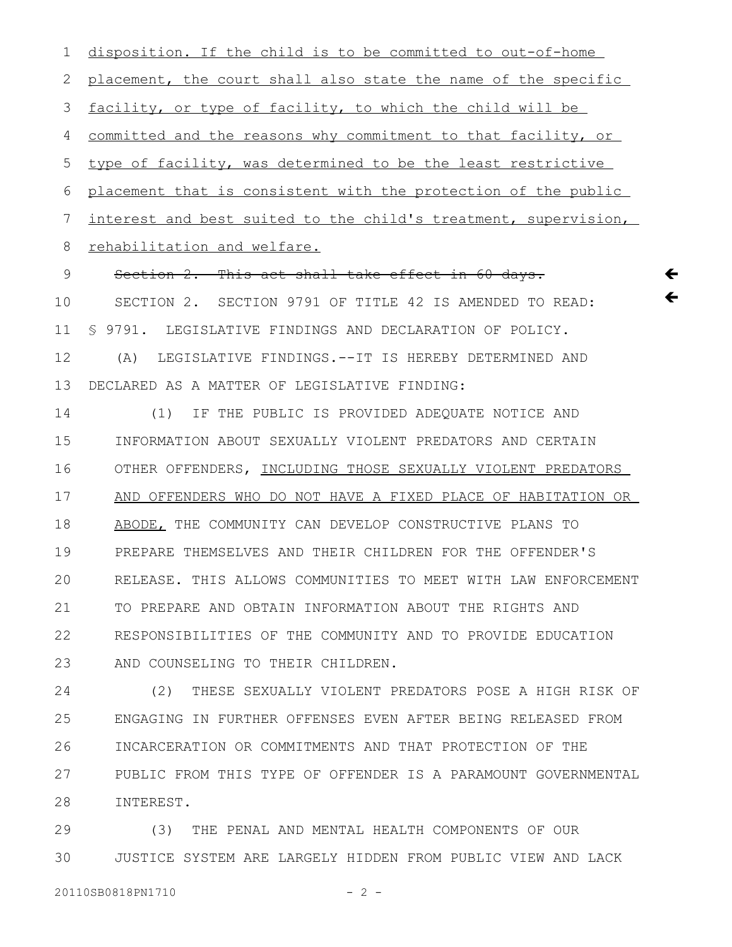disposition. If the child is to be committed to out-of-home placement, the court shall also state the name of the specific facility, or type of facility, to which the child will be committed and the reasons why commitment to that facility, or type of facility, was determined to be the least restrictive placement that is consistent with the protection of the public interest and best suited to the child's treatment, supervision, rehabilitation and welfare. Section 2. This act shall take effect in 60 days. SECTION 2. SECTION 9791 OF TITLE 42 IS AMENDED TO READ: § 9791. LEGISLATIVE FINDINGS AND DECLARATION OF POLICY. (A) LEGISLATIVE FINDINGS.--IT IS HEREBY DETERMINED AND DECLARED AS A MATTER OF LEGISLATIVE FINDING: (1) IF THE PUBLIC IS PROVIDED ADEQUATE NOTICE AND INFORMATION ABOUT SEXUALLY VIOLENT PREDATORS AND CERTAIN OTHER OFFENDERS, INCLUDING THOSE SEXUALLY VIOLENT PREDATORS AND OFFENDERS WHO DO NOT HAVE A FIXED PLACE OF HABITATION OR ABODE, THE COMMUNITY CAN DEVELOP CONSTRUCTIVE PLANS TO PREPARE THEMSELVES AND THEIR CHILDREN FOR THE OFFENDER'S RELEASE. THIS ALLOWS COMMUNITIES TO MEET WITH LAW ENFORCEMENT TO PREPARE AND OBTAIN INFORMATION ABOUT THE RIGHTS AND RESPONSIBILITIES OF THE COMMUNITY AND TO PROVIDE EDUCATION AND COUNSELING TO THEIR CHILDREN. (2) THESE SEXUALLY VIOLENT PREDATORS POSE A HIGH RISK OF ENGAGING IN FURTHER OFFENSES EVEN AFTER BEING RELEASED FROM INCARCERATION OR COMMITMENTS AND THAT PROTECTION OF THE 1 2 3 4 5 6 7 8 9 10 11 12 13 14 15 16 17 18 19 20 21 22 23 24 25 26

 $\leftarrow$  $\leftarrow$ 

PUBLIC FROM THIS TYPE OF OFFENDER IS A PARAMOUNT GOVERNMENTAL INTEREST. 27 28

(3) THE PENAL AND MENTAL HEALTH COMPONENTS OF OUR JUSTICE SYSTEM ARE LARGELY HIDDEN FROM PUBLIC VIEW AND LACK 29 30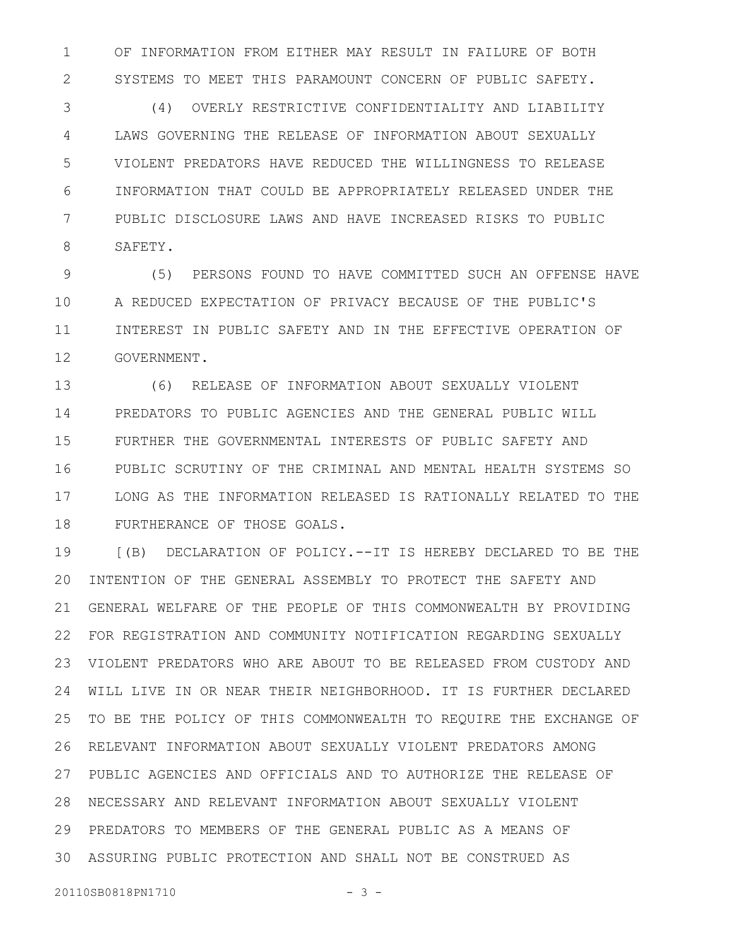OF INFORMATION FROM EITHER MAY RESULT IN FAILURE OF BOTH SYSTEMS TO MEET THIS PARAMOUNT CONCERN OF PUBLIC SAFETY. 1 2

(4) OVERLY RESTRICTIVE CONFIDENTIALITY AND LIABILITY LAWS GOVERNING THE RELEASE OF INFORMATION ABOUT SEXUALLY VIOLENT PREDATORS HAVE REDUCED THE WILLINGNESS TO RELEASE INFORMATION THAT COULD BE APPROPRIATELY RELEASED UNDER THE PUBLIC DISCLOSURE LAWS AND HAVE INCREASED RISKS TO PUBLIC SAFETY. 3 4 5 6 7 8

(5) PERSONS FOUND TO HAVE COMMITTED SUCH AN OFFENSE HAVE A REDUCED EXPECTATION OF PRIVACY BECAUSE OF THE PUBLIC'S INTEREST IN PUBLIC SAFETY AND IN THE EFFECTIVE OPERATION OF GOVERNMENT. 9 10 11 12

(6) RELEASE OF INFORMATION ABOUT SEXUALLY VIOLENT PREDATORS TO PUBLIC AGENCIES AND THE GENERAL PUBLIC WILL FURTHER THE GOVERNMENTAL INTERESTS OF PUBLIC SAFETY AND PUBLIC SCRUTINY OF THE CRIMINAL AND MENTAL HEALTH SYSTEMS SO LONG AS THE INFORMATION RELEASED IS RATIONALLY RELATED TO THE FURTHERANCE OF THOSE GOALS. 13 14 15 16 17 18

[(B) DECLARATION OF POLICY.--IT IS HEREBY DECLARED TO BE THE INTENTION OF THE GENERAL ASSEMBLY TO PROTECT THE SAFETY AND GENERAL WELFARE OF THE PEOPLE OF THIS COMMONWEALTH BY PROVIDING FOR REGISTRATION AND COMMUNITY NOTIFICATION REGARDING SEXUALLY VIOLENT PREDATORS WHO ARE ABOUT TO BE RELEASED FROM CUSTODY AND WILL LIVE IN OR NEAR THEIR NEIGHBORHOOD. IT IS FURTHER DECLARED TO BE THE POLICY OF THIS COMMONWEALTH TO REQUIRE THE EXCHANGE OF RELEVANT INFORMATION ABOUT SEXUALLY VIOLENT PREDATORS AMONG PUBLIC AGENCIES AND OFFICIALS AND TO AUTHORIZE THE RELEASE OF NECESSARY AND RELEVANT INFORMATION ABOUT SEXUALLY VIOLENT 28 PREDATORS TO MEMBERS OF THE GENERAL PUBLIC AS A MEANS OF ASSURING PUBLIC PROTECTION AND SHALL NOT BE CONSTRUED AS 3019 20 21 22 23 24 25 26 27 29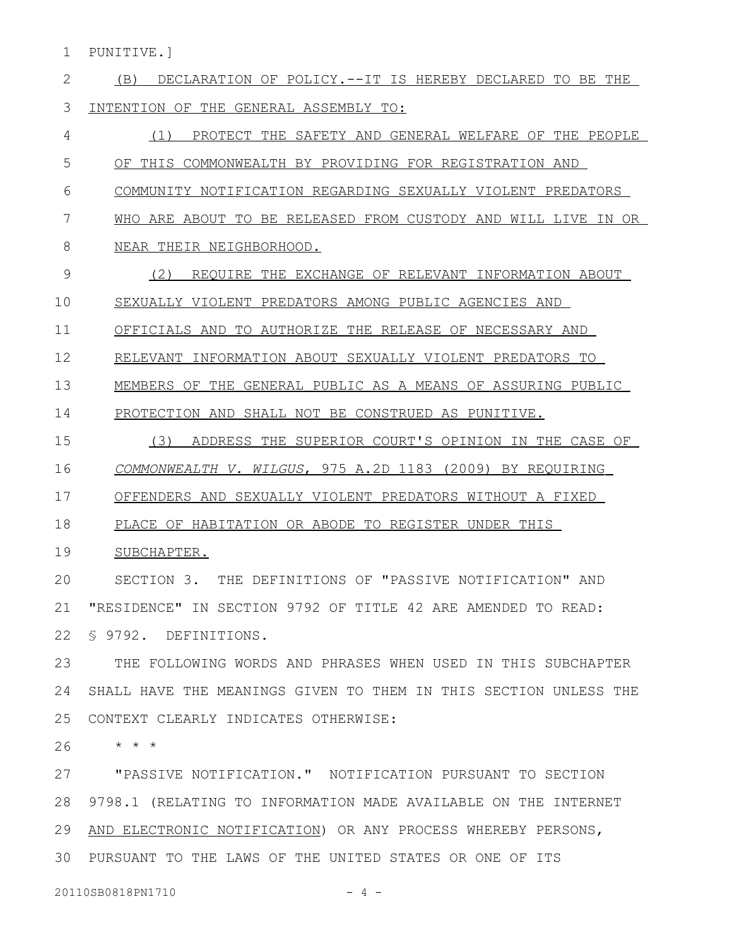PUNITIVE.] 1

| 2  | DECLARATION OF POLICY.--IT IS HEREBY DECLARED TO BE THE<br>(B)   |
|----|------------------------------------------------------------------|
| 3  | INTENTION OF THE GENERAL ASSEMBLY TO:                            |
| 4  | PROTECT THE SAFETY AND GENERAL WELFARE OF THE PEOPLE<br>(1)      |
| 5  | OF THIS COMMONWEALTH BY PROVIDING FOR REGISTRATION AND           |
| 6  | COMMUNITY NOTIFICATION REGARDING SEXUALLY VIOLENT PREDATORS      |
| 7  | WHO ARE ABOUT TO BE RELEASED FROM CUSTODY AND WILL LIVE IN OR    |
| 8  | NEAR THEIR NEIGHBORHOOD.                                         |
| 9  | (2)<br>REQUIRE THE EXCHANGE OF RELEVANT INFORMATION ABOUT        |
| 10 | SEXUALLY VIOLENT PREDATORS AMONG PUBLIC AGENCIES AND             |
| 11 | OFFICIALS AND TO AUTHORIZE THE RELEASE OF NECESSARY AND          |
| 12 | RELEVANT INFORMATION ABOUT SEXUALLY VIOLENT PREDATORS TO         |
| 13 | MEMBERS OF THE GENERAL PUBLIC AS A MEANS OF ASSURING PUBLIC      |
| 14 | PROTECTION AND SHALL NOT BE CONSTRUED AS PUNITIVE.               |
| 15 | ADDRESS THE SUPERIOR COURT'S OPINION IN THE CASE OF<br>(3)       |
| 16 | COMMONWEALTH V. WILGUS, 975 A.2D 1183 (2009) BY REQUIRING        |
| 17 | OFFENDERS AND SEXUALLY VIOLENT PREDATORS WITHOUT A FIXED         |
| 18 | PLACE OF HABITATION OR ABODE TO REGISTER UNDER THIS              |
| 19 | SUBCHAPTER.                                                      |
| 20 | THE DEFINITIONS OF "PASSIVE NOTIFICATION" AND<br>SECTION 3.      |
| 21 | "RESIDENCE" IN SECTION 9792 OF TITLE 42 ARE AMENDED TO READ:     |
| 22 | § 9792. DEFINITIONS.                                             |
| 23 | THE FOLLOWING WORDS AND PHRASES WHEN USED IN THIS SUBCHAPTER     |
| 24 | SHALL HAVE THE MEANINGS GIVEN TO THEM IN THIS SECTION UNLESS THE |
| 25 | CONTEXT CLEARLY INDICATES OTHERWISE:                             |
| 26 | $\star$ $\star$ $\star$                                          |
| 27 | "PASSIVE NOTIFICATION." NOTIFICATION PURSUANT TO SECTION         |
| 28 | 9798.1 (RELATING TO INFORMATION MADE AVAILABLE ON THE INTERNET   |
| 29 | AND ELECTRONIC NOTIFICATION) OR ANY PROCESS WHEREBY PERSONS,     |
| 30 | PURSUANT TO THE LAWS OF THE UNITED STATES OR ONE OF ITS          |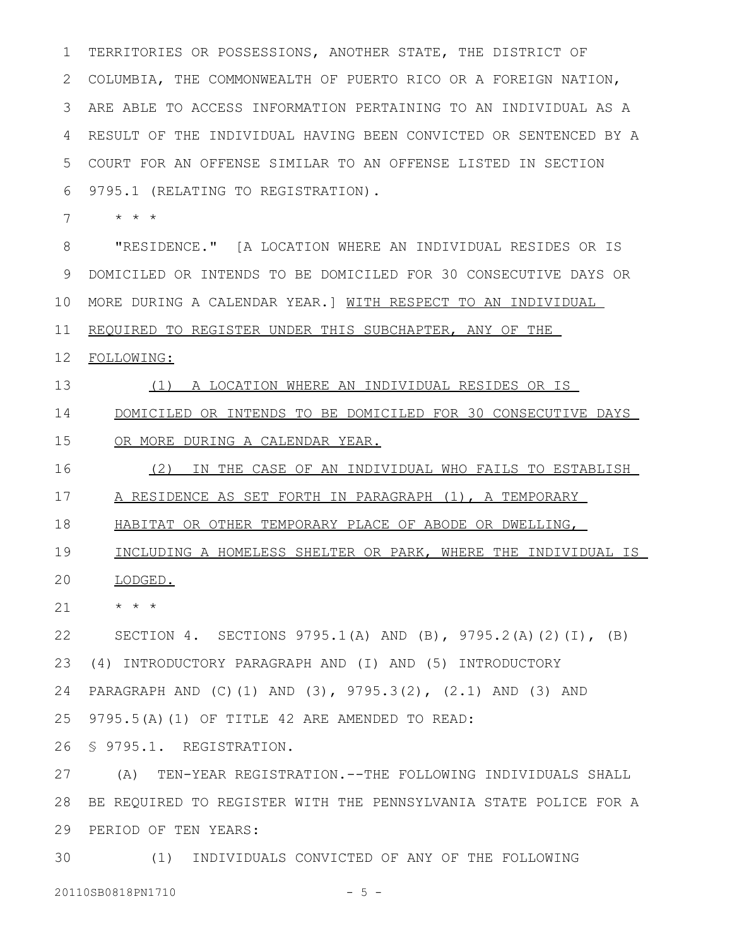TERRITORIES OR POSSESSIONS, ANOTHER STATE, THE DISTRICT OF COLUMBIA, THE COMMONWEALTH OF PUERTO RICO OR A FOREIGN NATION, ARE ABLE TO ACCESS INFORMATION PERTAINING TO AN INDIVIDUAL AS A RESULT OF THE INDIVIDUAL HAVING BEEN CONVICTED OR SENTENCED BY A COURT FOR AN OFFENSE SIMILAR TO AN OFFENSE LISTED IN SECTION 9795.1 (RELATING TO REGISTRATION). 1 2 3 4 5 6

\* \* \* 7

"RESIDENCE." [A LOCATION WHERE AN INDIVIDUAL RESIDES OR IS DOMICILED OR INTENDS TO BE DOMICILED FOR 30 CONSECUTIVE DAYS OR 9 10 MORE DURING A CALENDAR YEAR.] WITH RESPECT TO AN INDIVIDUAL REQUIRED TO REGISTER UNDER THIS SUBCHAPTER, ANY OF THE 8 11

FOLLOWING: 12

(1) A LOCATION WHERE AN INDIVIDUAL RESIDES OR IS 13

DOMICILED OR INTENDS TO BE DOMICILED FOR 30 CONSECUTIVE DAYS 14

OR MORE DURING A CALENDAR YEAR. 15

(2) IN THE CASE OF AN INDIVIDUAL WHO FAILS TO ESTABLISH 16

A RESIDENCE AS SET FORTH IN PARAGRAPH (1), A TEMPORARY 17

HABITAT OR OTHER TEMPORARY PLACE OF ABODE OR DWELLING, 18

INCLUDING A HOMELESS SHELTER OR PARK, WHERE THE INDIVIDUAL IS 19

LODGED. 20

\* \* \* 21

SECTION 4. SECTIONS 9795.1(A) AND (B), 9795.2(A)(2)(I), (B) (4) INTRODUCTORY PARAGRAPH AND (I) AND (5) INTRODUCTORY PARAGRAPH AND (C)(1) AND (3), 9795.3(2), (2.1) AND (3) AND 9795.5(A)(1) OF TITLE 42 ARE AMENDED TO READ: § 9795.1. REGISTRATION. 22 23 24 25 26

(A) TEN-YEAR REGISTRATION.--THE FOLLOWING INDIVIDUALS SHALL BE REQUIRED TO REGISTER WITH THE PENNSYLVANIA STATE POLICE FOR A 29 PERIOD OF TEN YEARS: 27 28

(1) INDIVIDUALS CONVICTED OF ANY OF THE FOLLOWING 30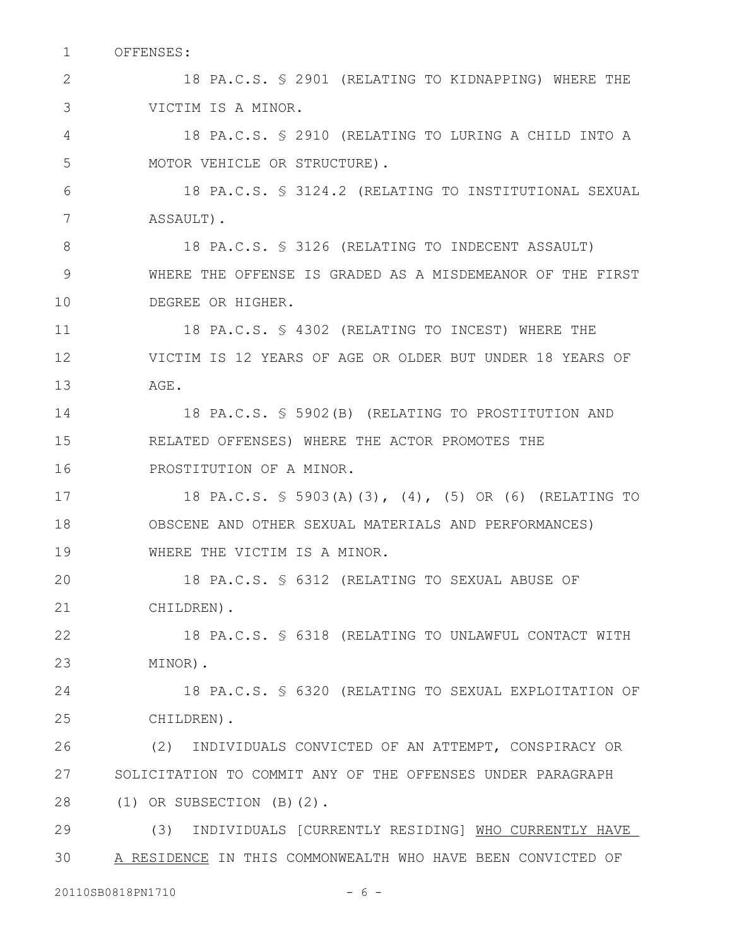OFFENSES: 1

18 PA.C.S. § 2901 (RELATING TO KIDNAPPING) WHERE THE VICTIM IS A MINOR. 2 3

18 PA.C.S. § 2910 (RELATING TO LURING A CHILD INTO A MOTOR VEHICLE OR STRUCTURE). 4 5

18 PA.C.S. § 3124.2 (RELATING TO INSTITUTIONAL SEXUAL ASSAULT). 6 7

18 PA.C.S. § 3126 (RELATING TO INDECENT ASSAULT) WHERE THE OFFENSE IS GRADED AS A MISDEMEANOR OF THE FIRST DEGREE OR HIGHER. 8 9 10

18 PA.C.S. § 4302 (RELATING TO INCEST) WHERE THE VICTIM IS 12 YEARS OF AGE OR OLDER BUT UNDER 18 YEARS OF AGE. 11 12 13

18 PA.C.S. § 5902(B) (RELATING TO PROSTITUTION AND RELATED OFFENSES) WHERE THE ACTOR PROMOTES THE PROSTITUTION OF A MINOR. 14 15 16

18 PA.C.S. § 5903(A)(3), (4), (5) OR (6) (RELATING TO OBSCENE AND OTHER SEXUAL MATERIALS AND PERFORMANCES) WHERE THE VICTIM IS A MINOR. 17 18 19

18 PA.C.S. § 6312 (RELATING TO SEXUAL ABUSE OF CHILDREN). 20 21

18 PA.C.S. § 6318 (RELATING TO UNLAWFUL CONTACT WITH MINOR). 22 23

18 PA.C.S. § 6320 (RELATING TO SEXUAL EXPLOITATION OF CHILDREN). 24 25

(2) INDIVIDUALS CONVICTED OF AN ATTEMPT, CONSPIRACY OR SOLICITATION TO COMMIT ANY OF THE OFFENSES UNDER PARAGRAPH (1) OR SUBSECTION (B)(2). 26 27 28

(3) INDIVIDUALS [CURRENTLY RESIDING] WHO CURRENTLY HAVE A RESIDENCE IN THIS COMMONWEALTH WHO HAVE BEEN CONVICTED OF 29 30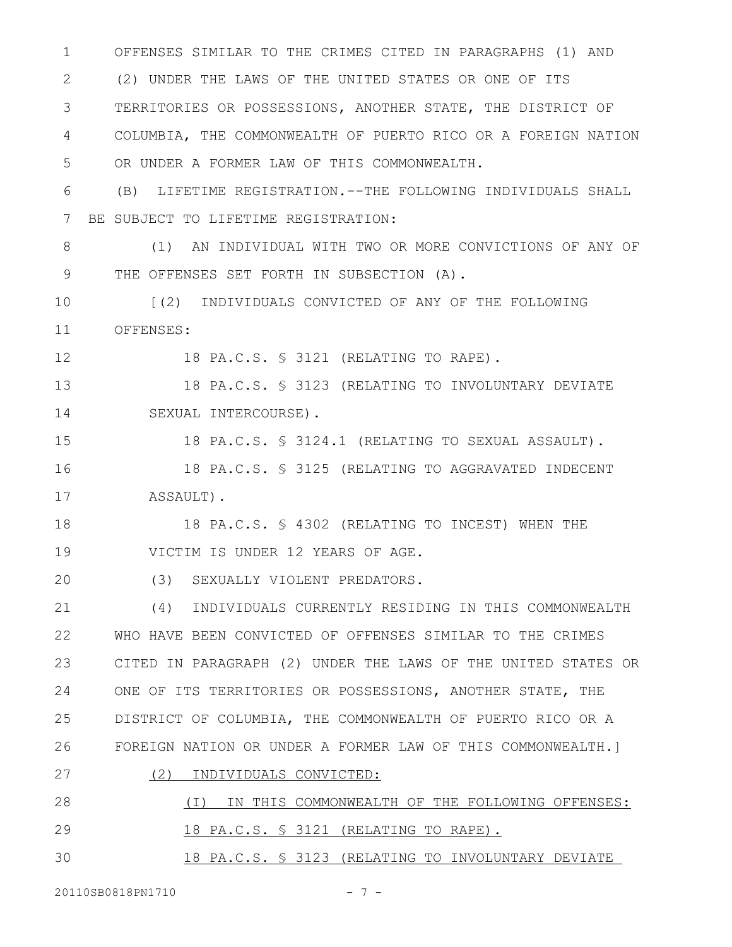OFFENSES SIMILAR TO THE CRIMES CITED IN PARAGRAPHS (1) AND (2) UNDER THE LAWS OF THE UNITED STATES OR ONE OF ITS TERRITORIES OR POSSESSIONS, ANOTHER STATE, THE DISTRICT OF COLUMBIA, THE COMMONWEALTH OF PUERTO RICO OR A FOREIGN NATION OR UNDER A FORMER LAW OF THIS COMMONWEALTH. (B) LIFETIME REGISTRATION.--THE FOLLOWING INDIVIDUALS SHALL BE SUBJECT TO LIFETIME REGISTRATION: (1) AN INDIVIDUAL WITH TWO OR MORE CONVICTIONS OF ANY OF THE OFFENSES SET FORTH IN SUBSECTION (A). [(2) INDIVIDUALS CONVICTED OF ANY OF THE FOLLOWING OFFENSES: 18 PA.C.S. § 3121 (RELATING TO RAPE). 18 PA.C.S. § 3123 (RELATING TO INVOLUNTARY DEVIATE SEXUAL INTERCOURSE). 18 PA.C.S. § 3124.1 (RELATING TO SEXUAL ASSAULT). 18 PA.C.S. § 3125 (RELATING TO AGGRAVATED INDECENT ASSAULT). 18 PA.C.S. § 4302 (RELATING TO INCEST) WHEN THE VICTIM IS UNDER 12 YEARS OF AGE. (3) SEXUALLY VIOLENT PREDATORS. (4) INDIVIDUALS CURRENTLY RESIDING IN THIS COMMONWEALTH WHO HAVE BEEN CONVICTED OF OFFENSES SIMILAR TO THE CRIMES CITED IN PARAGRAPH (2) UNDER THE LAWS OF THE UNITED STATES OR ONE OF ITS TERRITORIES OR POSSESSIONS, ANOTHER STATE, THE DISTRICT OF COLUMBIA, THE COMMONWEALTH OF PUERTO RICO OR A FOREIGN NATION OR UNDER A FORMER LAW OF THIS COMMONWEALTH.] (2) INDIVIDUALS CONVICTED: (I) IN THIS COMMONWEALTH OF THE FOLLOWING OFFENSES: 18 PA.C.S. § 3121 (RELATING TO RAPE). 18 PA.C.S. § 3123 (RELATING TO INVOLUNTARY DEVIATE 1 2 3 4 5 6 7 8 9 10 11 12 13 14 15 16 17 18 19 20 21 22 23 24 25 26 27 28 29 30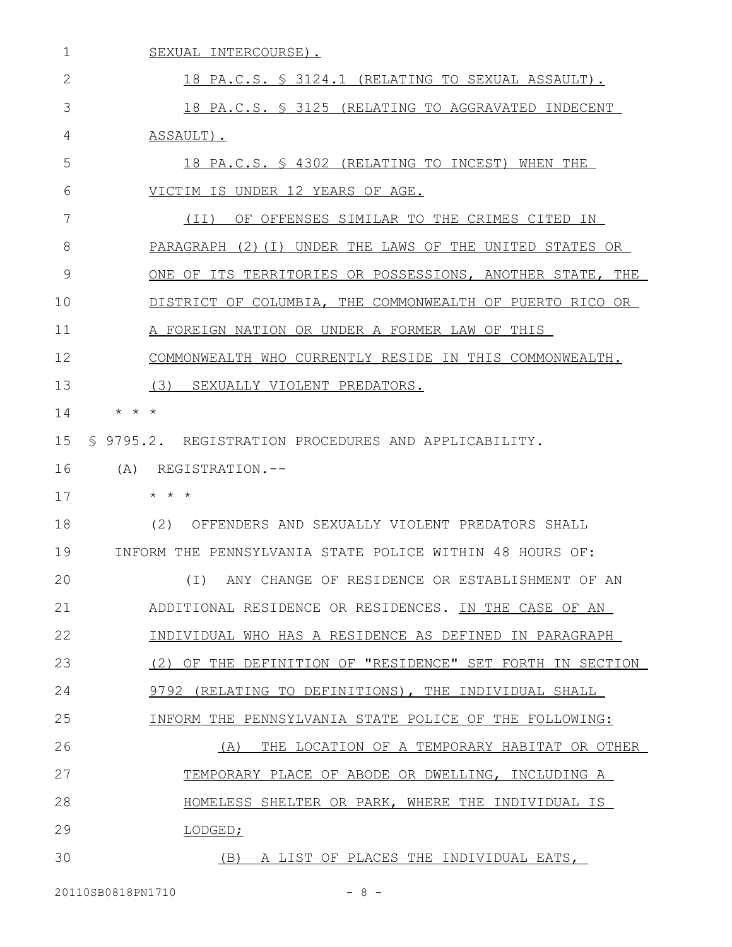| $\mathbf{1}$ | SEXUAL INTERCOURSE).                                       |
|--------------|------------------------------------------------------------|
| 2            | 18 PA.C.S. § 3124.1 (RELATING TO SEXUAL ASSAULT).          |
| 3            | 18 PA.C.S. § 3125 (RELATING TO AGGRAVATED INDECENT         |
| 4            | ASSAULT).                                                  |
| 5            | 18 PA.C.S. § 4302 (RELATING TO INCEST) WHEN THE            |
| 6            | VICTIM IS UNDER 12 YEARS OF AGE.                           |
| 7            | OF OFFENSES SIMILAR TO THE CRIMES CITED IN<br>(TI)         |
| 8            | PARAGRAPH (2)(I) UNDER THE LAWS OF THE UNITED STATES OR    |
| 9            | ONE OF ITS TERRITORIES OR POSSESSIONS, ANOTHER STATE, THE  |
| 10           | DISTRICT OF COLUMBIA, THE COMMONWEALTH OF PUERTO RICO OR   |
| 11           | A FOREIGN NATION OR UNDER A FORMER LAW OF THIS             |
| 12           | COMMONWEALTH WHO CURRENTLY RESIDE IN THIS COMMONWEALTH.    |
| 13           | (3)<br>SEXUALLY VIOLENT PREDATORS.                         |
| 14           | $\star$ $\star$ $\star$                                    |
| 15           | \$9795.2. REGISTRATION PROCEDURES AND APPLICABILITY.       |
| 16           | (A)<br>REGISTRATION.--                                     |
| 17           | $\star$ $\star$ $\star$                                    |
| 18           | (2)<br>OFFENDERS AND SEXUALLY VIOLENT PREDATORS SHALL      |
| 19           | INFORM THE PENNSYLVANIA STATE POLICE WITHIN 48 HOURS OF:   |
| 20           | $(\top)$<br>ANY CHANGE OF RESIDENCE OR ESTABLISHMENT OF AN |
| 21           | ADDITIONAL RESIDENCE OR RESIDENCES. IN THE CASE OF AN      |
| 22           | INDIVIDUAL WHO HAS A RESIDENCE AS DEFINED IN PARAGRAPH     |
| 23           | (2) OF THE DEFINITION OF "RESIDENCE" SET FORTH IN SECTION  |
| 24           | 9792 (RELATING TO DEFINITIONS), THE INDIVIDUAL SHALL       |
| 25           | INFORM THE PENNSYLVANIA STATE POLICE OF THE FOLLOWING:     |
| 26           | THE LOCATION OF A TEMPORARY HABITAT OR OTHER<br>(A)        |
| 27           | TEMPORARY PLACE OF ABODE OR DWELLING, INCLUDING A          |
| 28           | HOMELESS SHELTER OR PARK, WHERE THE INDIVIDUAL IS          |
| 29           | LODGED;                                                    |
| 30           | (B) A LIST OF PLACES THE INDIVIDUAL EATS,                  |

20110SB0818PN1710 - 8 -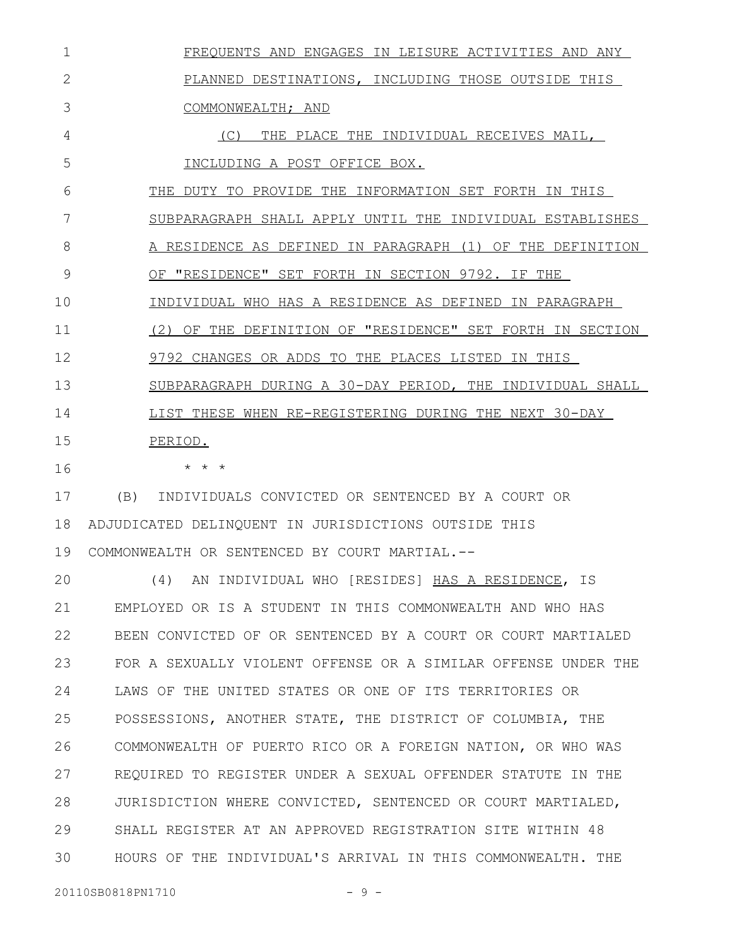| $\mathbf 1$    | FREQUENTS AND ENGAGES IN LEISURE ACTIVITIES AND ANY       |
|----------------|-----------------------------------------------------------|
| $\overline{2}$ | PLANNED DESTINATIONS, INCLUDING THOSE OUTSIDE THIS        |
| 3              | COMMONWEALTH; AND                                         |
| 4              | (C) THE PLACE THE INDIVIDUAL RECEIVES MAIL,               |
| 5              | INCLUDING A POST OFFICE BOX.                              |
| 6              | THE DUTY TO PROVIDE THE INFORMATION SET FORTH IN THIS     |
| 7              | SUBPARAGRAPH SHALL APPLY UNTIL THE INDIVIDUAL ESTABLISHES |
| 8              | A RESIDENCE AS DEFINED IN PARAGRAPH (1) OF THE DEFINITION |
| 9              | OF "RESIDENCE" SET FORTH IN SECTION 9792. IF THE          |
| 10             | INDIVIDUAL WHO HAS A RESIDENCE AS DEFINED IN PARAGRAPH    |
| 11             | (2) OF THE DEFINITION OF "RESIDENCE" SET FORTH IN SECTION |
| 12             | 9792 CHANGES OR ADDS TO THE PLACES LISTED IN THIS         |
| 13             | SUBPARAGRAPH DURING A 30-DAY PERIOD, THE INDIVIDUAL SHALL |
| 14             | LIST THESE WHEN RE-REGISTERING DURING THE NEXT 30-DAY     |
| 15             | PERIOD.                                                   |
| 16             | $\star$ $\star$ $\star$                                   |
| 17             | (B) INDIVIDUALS CONVICTED OR SENTENCED BY A COURT OR      |
| 18             | ADJUDICATED DELINQUENT IN JURISDICTIONS OUTSIDE THIS      |
| 19             | COMMONWEALTH OR SENTENCED BY COURT MARTIAL.--             |
| 20             | (4)<br>AN INDIVIDUAL WHO [RESIDES] HAS A RESIDENCE, IS    |
| 21             | EMPLOYED OR IS A STUDENT IN THIS COMMONWEALTH AND WHO HAS |
|                |                                                           |

BEEN CONVICTED OF OR SENTENCED BY A COURT OR COURT MARTIALED FOR A SEXUALLY VIOLENT OFFENSE OR A SIMILAR OFFENSE UNDER THE LAWS OF THE UNITED STATES OR ONE OF ITS TERRITORIES OR POSSESSIONS, ANOTHER STATE, THE DISTRICT OF COLUMBIA, THE COMMONWEALTH OF PUERTO RICO OR A FOREIGN NATION, OR WHO WAS REQUIRED TO REGISTER UNDER A SEXUAL OFFENDER STATUTE IN THE JURISDICTION WHERE CONVICTED, SENTENCED OR COURT MARTIALED, 22 23 24 25 26 27 28

SHALL REGISTER AT AN APPROVED REGISTRATION SITE WITHIN 48 HOURS OF THE INDIVIDUAL'S ARRIVAL IN THIS COMMONWEALTH. THE 29 30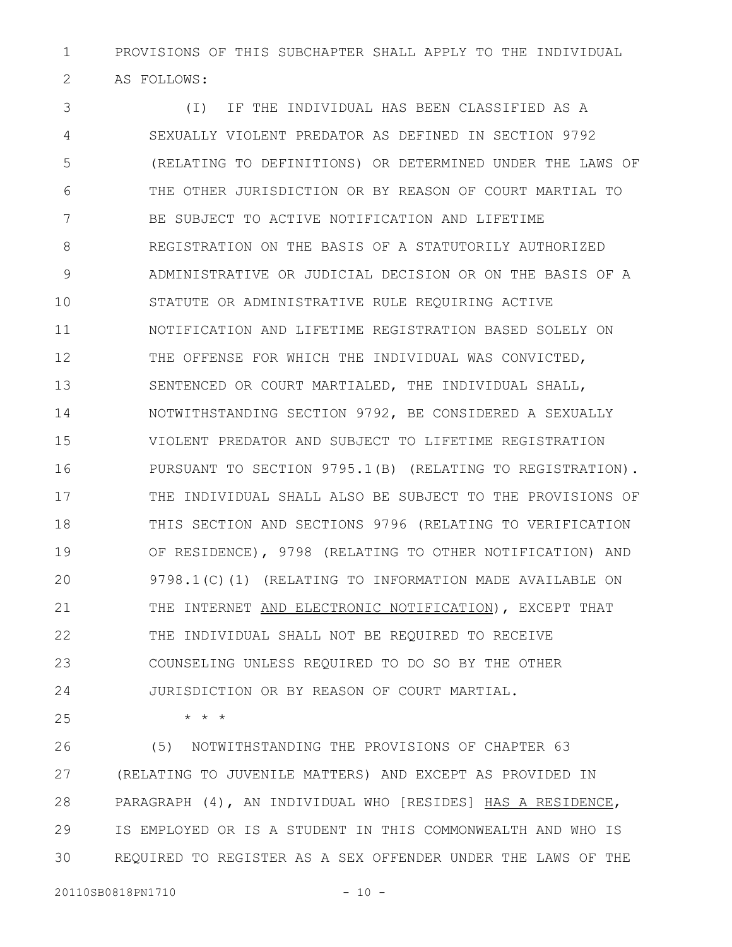PROVISIONS OF THIS SUBCHAPTER SHALL APPLY TO THE INDIVIDUAL AS FOLLOWS: 1 2

(I) IF THE INDIVIDUAL HAS BEEN CLASSIFIED AS A SEXUALLY VIOLENT PREDATOR AS DEFINED IN SECTION 9792 (RELATING TO DEFINITIONS) OR DETERMINED UNDER THE LAWS OF THE OTHER JURISDICTION OR BY REASON OF COURT MARTIAL TO BE SUBJECT TO ACTIVE NOTIFICATION AND LIFETIME REGISTRATION ON THE BASIS OF A STATUTORILY AUTHORIZED ADMINISTRATIVE OR JUDICIAL DECISION OR ON THE BASIS OF A STATUTE OR ADMINISTRATIVE RULE REQUIRING ACTIVE NOTIFICATION AND LIFETIME REGISTRATION BASED SOLELY ON THE OFFENSE FOR WHICH THE INDIVIDUAL WAS CONVICTED, SENTENCED OR COURT MARTIALED, THE INDIVIDUAL SHALL, NOTWITHSTANDING SECTION 9792, BE CONSIDERED A SEXUALLY VIOLENT PREDATOR AND SUBJECT TO LIFETIME REGISTRATION PURSUANT TO SECTION 9795.1(B) (RELATING TO REGISTRATION). THE INDIVIDUAL SHALL ALSO BE SUBJECT TO THE PROVISIONS OF THIS SECTION AND SECTIONS 9796 (RELATING TO VERIFICATION OF RESIDENCE), 9798 (RELATING TO OTHER NOTIFICATION) AND 9798.1(C)(1) (RELATING TO INFORMATION MADE AVAILABLE ON THE INTERNET AND ELECTRONIC NOTIFICATION), EXCEPT THAT THE INDIVIDUAL SHALL NOT BE REQUIRED TO RECEIVE COUNSELING UNLESS REQUIRED TO DO SO BY THE OTHER JURISDICTION OR BY REASON OF COURT MARTIAL. 3 4 5 6 7 8 9 10 11 12 13 14 15 16 17 18 19 20 21 22 23 24

25

\* \* \*

(5) NOTWITHSTANDING THE PROVISIONS OF CHAPTER 63 (RELATING TO JUVENILE MATTERS) AND EXCEPT AS PROVIDED IN PARAGRAPH (4), AN INDIVIDUAL WHO [RESIDES] HAS A RESIDENCE, IS EMPLOYED OR IS A STUDENT IN THIS COMMONWEALTH AND WHO IS REQUIRED TO REGISTER AS A SEX OFFENDER UNDER THE LAWS OF THE 26 27 28 29 30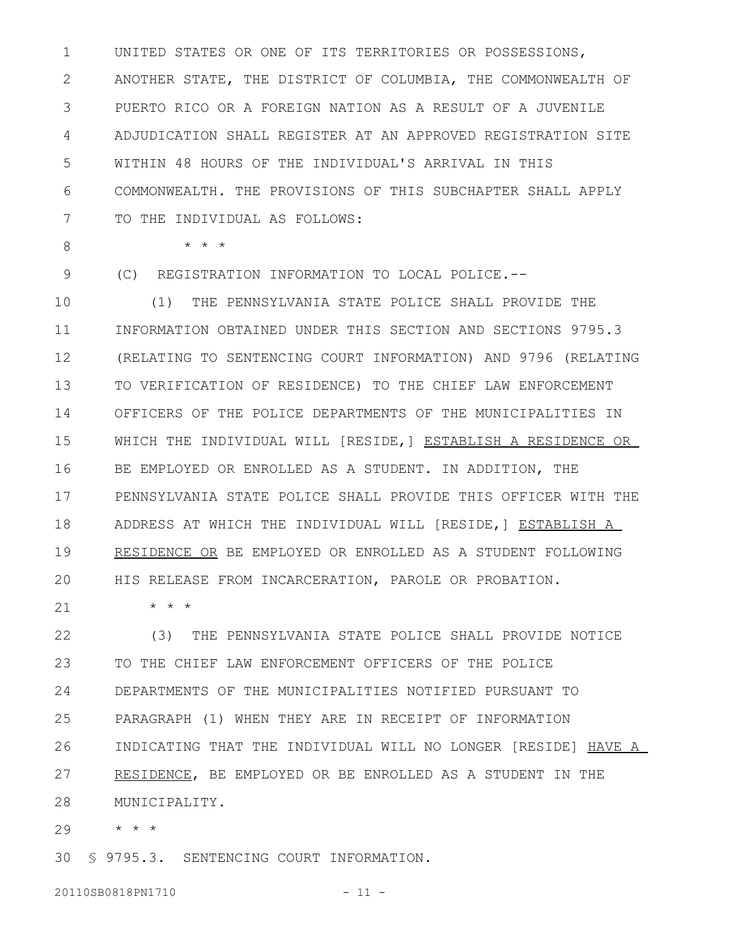UNITED STATES OR ONE OF ITS TERRITORIES OR POSSESSIONS, ANOTHER STATE, THE DISTRICT OF COLUMBIA, THE COMMONWEALTH OF PUERTO RICO OR A FOREIGN NATION AS A RESULT OF A JUVENILE ADJUDICATION SHALL REGISTER AT AN APPROVED REGISTRATION SITE WITHIN 48 HOURS OF THE INDIVIDUAL'S ARRIVAL IN THIS COMMONWEALTH. THE PROVISIONS OF THIS SUBCHAPTER SHALL APPLY TO THE INDIVIDUAL AS FOLLOWS: 1 2 3 4 5 6 7

8

\* \* \*

\* \* \*

(C) REGISTRATION INFORMATION TO LOCAL POLICE.-- 9

(1) THE PENNSYLVANIA STATE POLICE SHALL PROVIDE THE INFORMATION OBTAINED UNDER THIS SECTION AND SECTIONS 9795.3 (RELATING TO SENTENCING COURT INFORMATION) AND 9796 (RELATING TO VERIFICATION OF RESIDENCE) TO THE CHIEF LAW ENFORCEMENT OFFICERS OF THE POLICE DEPARTMENTS OF THE MUNICIPALITIES IN WHICH THE INDIVIDUAL WILL [RESIDE,] ESTABLISH A RESIDENCE OR BE EMPLOYED OR ENROLLED AS A STUDENT. IN ADDITION, THE PENNSYLVANIA STATE POLICE SHALL PROVIDE THIS OFFICER WITH THE ADDRESS AT WHICH THE INDIVIDUAL WILL [RESIDE,] ESTABLISH A RESIDENCE OR BE EMPLOYED OR ENROLLED AS A STUDENT FOLLOWING HIS RELEASE FROM INCARCERATION, PAROLE OR PROBATION. 10 11 12 13 14 15 16 17 18 19 20

21

(3) THE PENNSYLVANIA STATE POLICE SHALL PROVIDE NOTICE TO THE CHIEF LAW ENFORCEMENT OFFICERS OF THE POLICE DEPARTMENTS OF THE MUNICIPALITIES NOTIFIED PURSUANT TO PARAGRAPH (1) WHEN THEY ARE IN RECEIPT OF INFORMATION INDICATING THAT THE INDIVIDUAL WILL NO LONGER [RESIDE] HAVE A RESIDENCE, BE EMPLOYED OR BE ENROLLED AS A STUDENT IN THE MUNICIPALITY. 22 23 24 25 26 27 28

\* \* \* 29

§ 9795.3. SENTENCING COURT INFORMATION. 30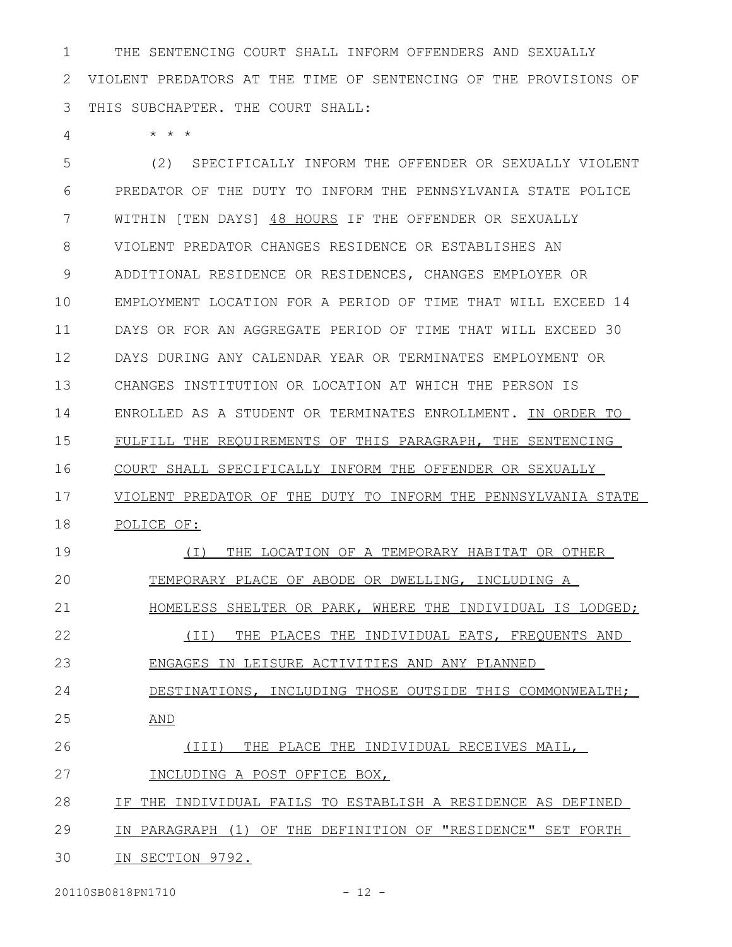THE SENTENCING COURT SHALL INFORM OFFENDERS AND SEXUALLY VIOLENT PREDATORS AT THE TIME OF SENTENCING OF THE PROVISIONS OF THIS SUBCHAPTER. THE COURT SHALL: 1 2 3

\* \* \* 4

(2) SPECIFICALLY INFORM THE OFFENDER OR SEXUALLY VIOLENT PREDATOR OF THE DUTY TO INFORM THE PENNSYLVANIA STATE POLICE WITHIN [TEN DAYS] 48 HOURS IF THE OFFENDER OR SEXUALLY VIOLENT PREDATOR CHANGES RESIDENCE OR ESTABLISHES AN ADDITIONAL RESIDENCE OR RESIDENCES, CHANGES EMPLOYER OR EMPLOYMENT LOCATION FOR A PERIOD OF TIME THAT WILL EXCEED 14 DAYS OR FOR AN AGGREGATE PERIOD OF TIME THAT WILL EXCEED 30 DAYS DURING ANY CALENDAR YEAR OR TERMINATES EMPLOYMENT OR CHANGES INSTITUTION OR LOCATION AT WHICH THE PERSON IS ENROLLED AS A STUDENT OR TERMINATES ENROLLMENT. IN ORDER TO FULFILL THE REQUIREMENTS OF THIS PARAGRAPH, THE SENTENCING COURT SHALL SPECIFICALLY INFORM THE OFFENDER OR SEXUALLY VIOLENT PREDATOR OF THE DUTY TO INFORM THE PENNSYLVANIA STATE POLICE OF: (I) THE LOCATION OF A TEMPORARY HABITAT OR OTHER TEMPORARY PLACE OF ABODE OR DWELLING, INCLUDING A HOMELESS SHELTER OR PARK, WHERE THE INDIVIDUAL IS LODGED; (II) THE PLACES THE INDIVIDUAL EATS, FREQUENTS AND ENGAGES IN LEISURE ACTIVITIES AND ANY PLANNED DESTINATIONS, INCLUDING THOSE OUTSIDE THIS COMMONWEALTH; AND (III) THE PLACE THE INDIVIDUAL RECEIVES MAIL, INCLUDING A POST OFFICE BOX, IF THE INDIVIDUAL FAILS TO ESTABLISH A RESIDENCE AS DEFINED IN PARAGRAPH (1) OF THE DEFINITION OF "RESIDENCE" SET FORTH IN SECTION 9792. 5 6 7 8 9 10 11 12 13 14 15 16 17 18 19 20 21 22 23 24 25 26 27 28 29 30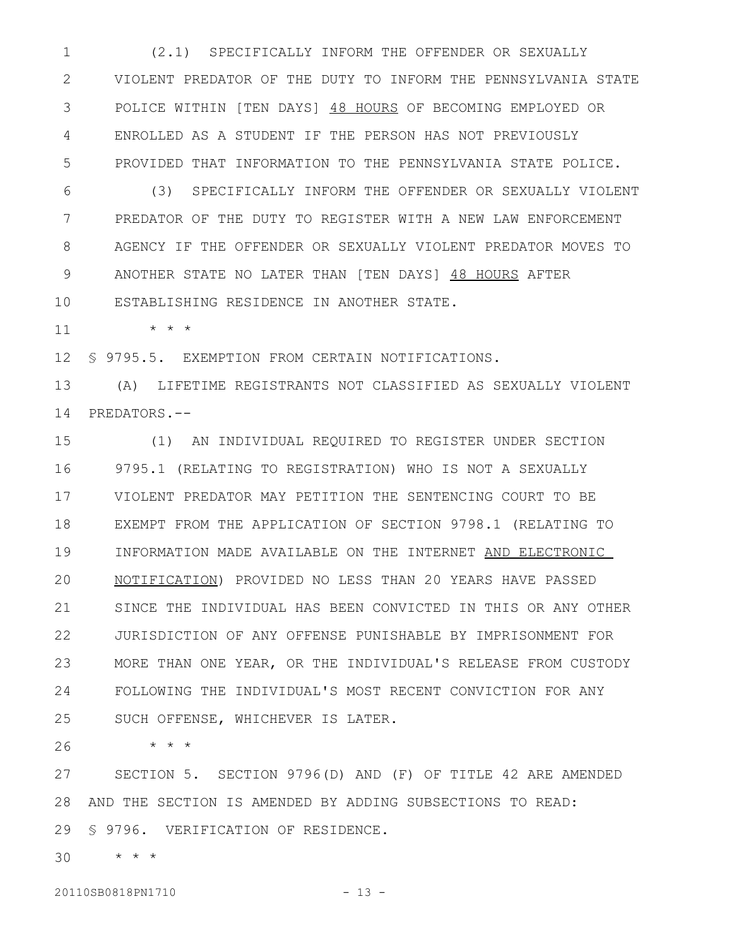(2.1) SPECIFICALLY INFORM THE OFFENDER OR SEXUALLY VIOLENT PREDATOR OF THE DUTY TO INFORM THE PENNSYLVANIA STATE POLICE WITHIN [TEN DAYS] 48 HOURS OF BECOMING EMPLOYED OR ENROLLED AS A STUDENT IF THE PERSON HAS NOT PREVIOUSLY PROVIDED THAT INFORMATION TO THE PENNSYLVANIA STATE POLICE. 1 2 3 4 5

(3) SPECIFICALLY INFORM THE OFFENDER OR SEXUALLY VIOLENT PREDATOR OF THE DUTY TO REGISTER WITH A NEW LAW ENFORCEMENT AGENCY IF THE OFFENDER OR SEXUALLY VIOLENT PREDATOR MOVES TO ANOTHER STATE NO LATER THAN [TEN DAYS] 48 HOURS AFTER ESTABLISHING RESIDENCE IN ANOTHER STATE. 6 7 8 9 10

\* \* \*

11

§ 9795.5. EXEMPTION FROM CERTAIN NOTIFICATIONS. 12

(A) LIFETIME REGISTRANTS NOT CLASSIFIED AS SEXUALLY VIOLENT 14 PREDATORS.--13

(1) AN INDIVIDUAL REQUIRED TO REGISTER UNDER SECTION 9795.1 (RELATING TO REGISTRATION) WHO IS NOT A SEXUALLY VIOLENT PREDATOR MAY PETITION THE SENTENCING COURT TO BE EXEMPT FROM THE APPLICATION OF SECTION 9798.1 (RELATING TO INFORMATION MADE AVAILABLE ON THE INTERNET AND ELECTRONIC NOTIFICATION) PROVIDED NO LESS THAN 20 YEARS HAVE PASSED SINCE THE INDIVIDUAL HAS BEEN CONVICTED IN THIS OR ANY OTHER JURISDICTION OF ANY OFFENSE PUNISHABLE BY IMPRISONMENT FOR MORE THAN ONE YEAR, OR THE INDIVIDUAL'S RELEASE FROM CUSTODY FOLLOWING THE INDIVIDUAL'S MOST RECENT CONVICTION FOR ANY SUCH OFFENSE, WHICHEVER IS LATER. 15 16 17 18 19 20 21 22 23 24 25

\* \* \* 26

SECTION 5. SECTION 9796(D) AND (F) OF TITLE 42 ARE AMENDED AND THE SECTION IS AMENDED BY ADDING SUBSECTIONS TO READ: 28 § 9796. VERIFICATION OF RESIDENCE. 29 27

\* \* \* 30

20110SB0818PN1710 - 13 -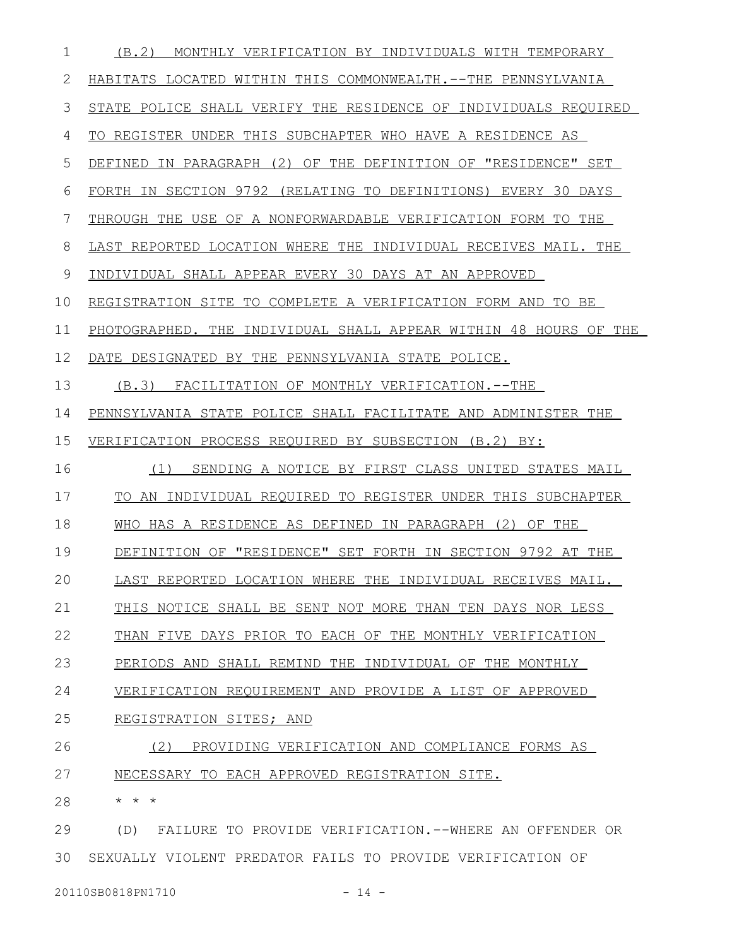| 1  | (B.2)<br>MONTHLY VERIFICATION BY INDIVIDUALS WITH TEMPORARY      |
|----|------------------------------------------------------------------|
| 2  | HABITATS LOCATED WITHIN THIS COMMONWEALTH.--THE PENNSYLVANIA     |
| 3  | STATE POLICE SHALL VERIFY THE RESIDENCE OF INDIVIDUALS REQUIRED  |
| 4  | TO REGISTER UNDER THIS SUBCHAPTER WHO HAVE A RESIDENCE AS        |
| 5  | DEFINED IN PARAGRAPH (2) OF THE DEFINITION OF "RESIDENCE" SET    |
| 6  | FORTH IN SECTION 9792 (RELATING TO DEFINITIONS) EVERY 30 DAYS    |
| 7  | THROUGH THE USE OF A NONFORWARDABLE VERIFICATION FORM TO THE     |
| 8  | LAST REPORTED LOCATION WHERE THE INDIVIDUAL RECEIVES MAIL. THE   |
| 9  | INDIVIDUAL SHALL APPEAR EVERY 30 DAYS AT AN APPROVED             |
| 10 | REGISTRATION SITE TO COMPLETE A VERIFICATION FORM AND TO BE      |
| 11 | PHOTOGRAPHED. THE INDIVIDUAL SHALL APPEAR WITHIN 48 HOURS OF THE |
| 12 | DATE DESIGNATED BY THE PENNSYLVANIA STATE POLICE.                |
| 13 | (B.3) FACILITATION OF MONTHLY VERIFICATION.--THE                 |
| 14 | PENNSYLVANIA STATE POLICE SHALL FACILITATE AND ADMINISTER THE    |
| 15 | VERIFICATION PROCESS REQUIRED BY SUBSECTION (B.2) BY:            |
| 16 | SENDING A NOTICE BY FIRST CLASS UNITED STATES MAIL<br>(1)        |
| 17 | TO AN INDIVIDUAL REQUIRED TO REGISTER UNDER THIS SUBCHAPTER      |
| 18 | WHO HAS A RESIDENCE AS DEFINED IN PARAGRAPH (2) OF THE           |
| 19 | DEFINITION OF "RESIDENCE" SET FORTH IN SECTION 9792 AT THE       |
| 20 | LAST REPORTED LOCATION WHERE THE INDIVIDUAL RECEIVES MAIL.       |
| 21 | THIS NOTICE SHALL BE SENT NOT MORE THAN TEN DAYS NOR LESS        |
| 22 | THAN FIVE DAYS PRIOR TO EACH OF THE MONTHLY VERIFICATION         |
| 23 | PERIODS AND SHALL REMIND THE INDIVIDUAL OF THE MONTHLY           |
| 24 | VERIFICATION REQUIREMENT AND PROVIDE A LIST OF APPROVED          |
| 25 | REGISTRATION SITES; AND                                          |
| 26 | (2)<br>PROVIDING VERIFICATION AND COMPLIANCE FORMS AS            |
| 27 | NECESSARY TO EACH APPROVED REGISTRATION SITE.                    |
| 28 | * * *                                                            |
| 29 | FAILURE TO PROVIDE VERIFICATION.--WHERE AN OFFENDER OR<br>(D)    |
|    |                                                                  |

SEXUALLY VIOLENT PREDATOR FAILS TO PROVIDE VERIFICATION OF 30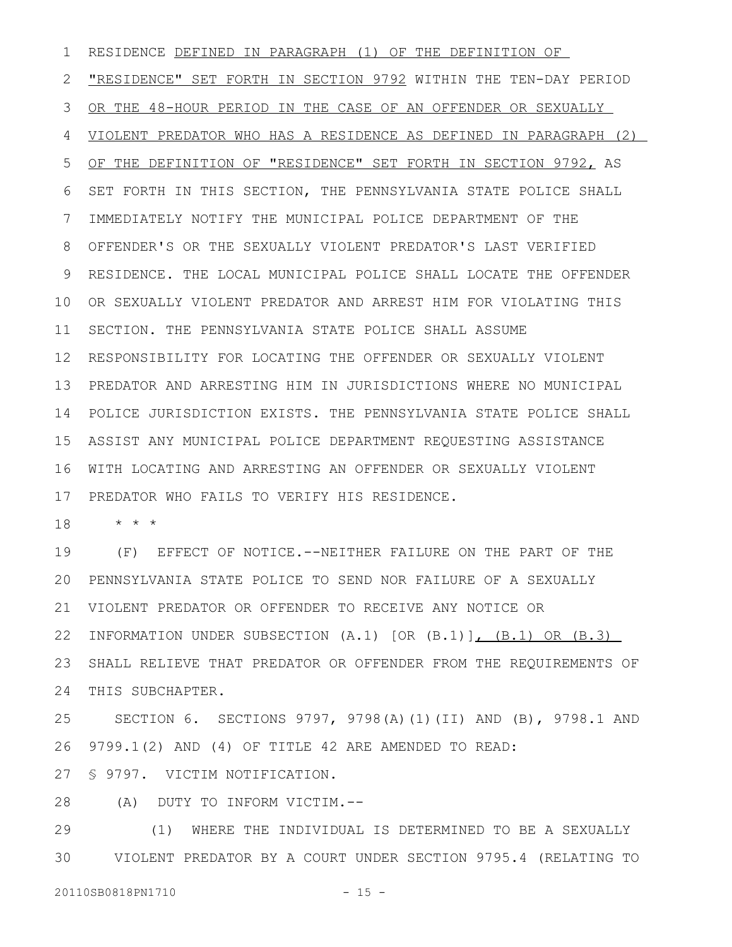RESIDENCE DEFINED IN PARAGRAPH (1) OF THE DEFINITION OF "RESIDENCE" SET FORTH IN SECTION 9792 WITHIN THE TEN-DAY PERIOD OR THE 48-HOUR PERIOD IN THE CASE OF AN OFFENDER OR SEXUALLY VIOLENT PREDATOR WHO HAS A RESIDENCE AS DEFINED IN PARAGRAPH (2) OF THE DEFINITION OF "RESIDENCE" SET FORTH IN SECTION 9792, AS SET FORTH IN THIS SECTION, THE PENNSYLVANIA STATE POLICE SHALL IMMEDIATELY NOTIFY THE MUNICIPAL POLICE DEPARTMENT OF THE OFFENDER'S OR THE SEXUALLY VIOLENT PREDATOR'S LAST VERIFIED RESIDENCE. THE LOCAL MUNICIPAL POLICE SHALL LOCATE THE OFFENDER OR SEXUALLY VIOLENT PREDATOR AND ARREST HIM FOR VIOLATING THIS SECTION. THE PENNSYLVANIA STATE POLICE SHALL ASSUME 12 RESPONSIBILITY FOR LOCATING THE OFFENDER OR SEXUALLY VIOLENT PREDATOR AND ARRESTING HIM IN JURISDICTIONS WHERE NO MUNICIPAL 13 POLICE JURISDICTION EXISTS. THE PENNSYLVANIA STATE POLICE SHALL 14 ASSIST ANY MUNICIPAL POLICE DEPARTMENT REQUESTING ASSISTANCE WITH LOCATING AND ARRESTING AN OFFENDER OR SEXUALLY VIOLENT PREDATOR WHO FAILS TO VERIFY HIS RESIDENCE. 1 2 3 4 5 6 7 8 9 10 11 15 16 17

\* \* \* 18

(F) EFFECT OF NOTICE.--NEITHER FAILURE ON THE PART OF THE PENNSYLVANIA STATE POLICE TO SEND NOR FAILURE OF A SEXUALLY VIOLENT PREDATOR OR OFFENDER TO RECEIVE ANY NOTICE OR INFORMATION UNDER SUBSECTION (A.1) [OR (B.1)], (B.1) OR (B.3) SHALL RELIEVE THAT PREDATOR OR OFFENDER FROM THE REQUIREMENTS OF THIS SUBCHAPTER. 19 20 21 22 23 24

SECTION 6. SECTIONS 9797, 9798(A)(1)(II) AND (B), 9798.1 AND 9799.1(2) AND (4) OF TITLE 42 ARE AMENDED TO READ: § 9797. VICTIM NOTIFICATION. 25 26 27

(A) DUTY TO INFORM VICTIM.-- 28

(1) WHERE THE INDIVIDUAL IS DETERMINED TO BE A SEXUALLY VIOLENT PREDATOR BY A COURT UNDER SECTION 9795.4 (RELATING TO 29 30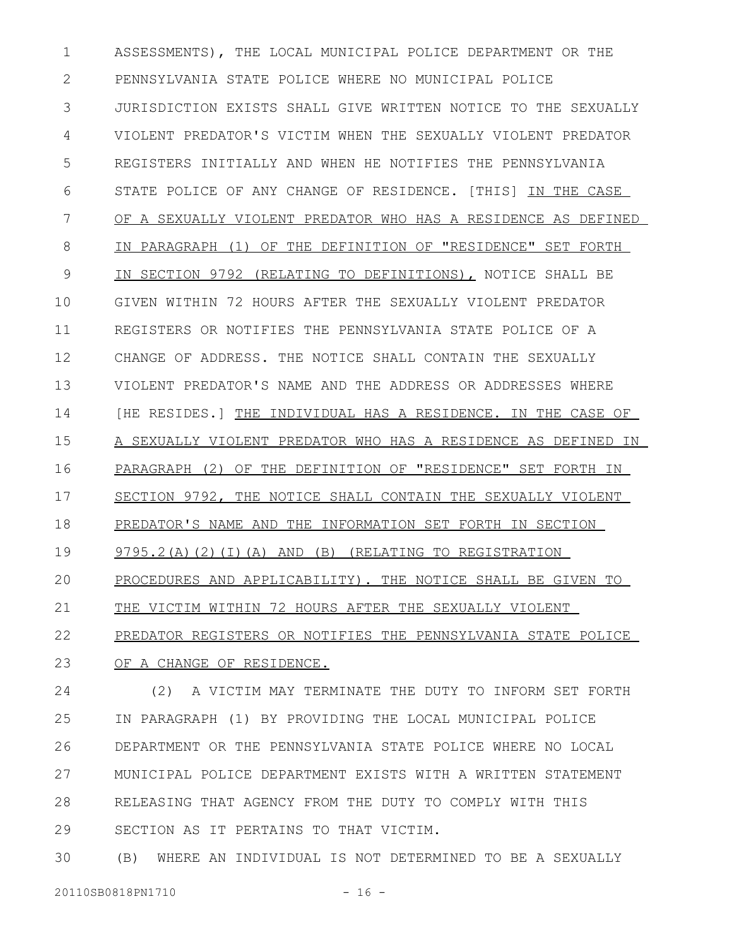ASSESSMENTS), THE LOCAL MUNICIPAL POLICE DEPARTMENT OR THE PENNSYLVANIA STATE POLICE WHERE NO MUNICIPAL POLICE JURISDICTION EXISTS SHALL GIVE WRITTEN NOTICE TO THE SEXUALLY VIOLENT PREDATOR'S VICTIM WHEN THE SEXUALLY VIOLENT PREDATOR REGISTERS INITIALLY AND WHEN HE NOTIFIES THE PENNSYLVANIA STATE POLICE OF ANY CHANGE OF RESIDENCE. [THIS] IN THE CASE OF A SEXUALLY VIOLENT PREDATOR WHO HAS A RESIDENCE AS DEFINED IN PARAGRAPH (1) OF THE DEFINITION OF "RESIDENCE" SET FORTH IN SECTION 9792 (RELATING TO DEFINITIONS), NOTICE SHALL BE GIVEN WITHIN 72 HOURS AFTER THE SEXUALLY VIOLENT PREDATOR REGISTERS OR NOTIFIES THE PENNSYLVANIA STATE POLICE OF A CHANGE OF ADDRESS. THE NOTICE SHALL CONTAIN THE SEXUALLY VIOLENT PREDATOR'S NAME AND THE ADDRESS OR ADDRESSES WHERE [HE RESIDES.] THE INDIVIDUAL HAS A RESIDENCE. IN THE CASE OF A SEXUALLY VIOLENT PREDATOR WHO HAS A RESIDENCE AS DEFINED IN PARAGRAPH (2) OF THE DEFINITION OF "RESIDENCE" SET FORTH IN SECTION 9792, THE NOTICE SHALL CONTAIN THE SEXUALLY VIOLENT PREDATOR'S NAME AND THE INFORMATION SET FORTH IN SECTION 9795.2(A)(2)(I)(A) AND (B) (RELATING TO REGISTRATION PROCEDURES AND APPLICABILITY). THE NOTICE SHALL BE GIVEN TO THE VICTIM WITHIN 72 HOURS AFTER THE SEXUALLY VIOLENT PREDATOR REGISTERS OR NOTIFIES THE PENNSYLVANIA STATE POLICE OF A CHANGE OF RESIDENCE. (2) A VICTIM MAY TERMINATE THE DUTY TO INFORM SET FORTH 1 2 3 4 5 6 7 8 9 10 11 12 13 14 15 16 17 18 19 20 21 22 23 24

IN PARAGRAPH (1) BY PROVIDING THE LOCAL MUNICIPAL POLICE DEPARTMENT OR THE PENNSYLVANIA STATE POLICE WHERE NO LOCAL MUNICIPAL POLICE DEPARTMENT EXISTS WITH A WRITTEN STATEMENT RELEASING THAT AGENCY FROM THE DUTY TO COMPLY WITH THIS SECTION AS IT PERTAINS TO THAT VICTIM. 25 26 27 28 29

(B) WHERE AN INDIVIDUAL IS NOT DETERMINED TO BE A SEXUALLY 30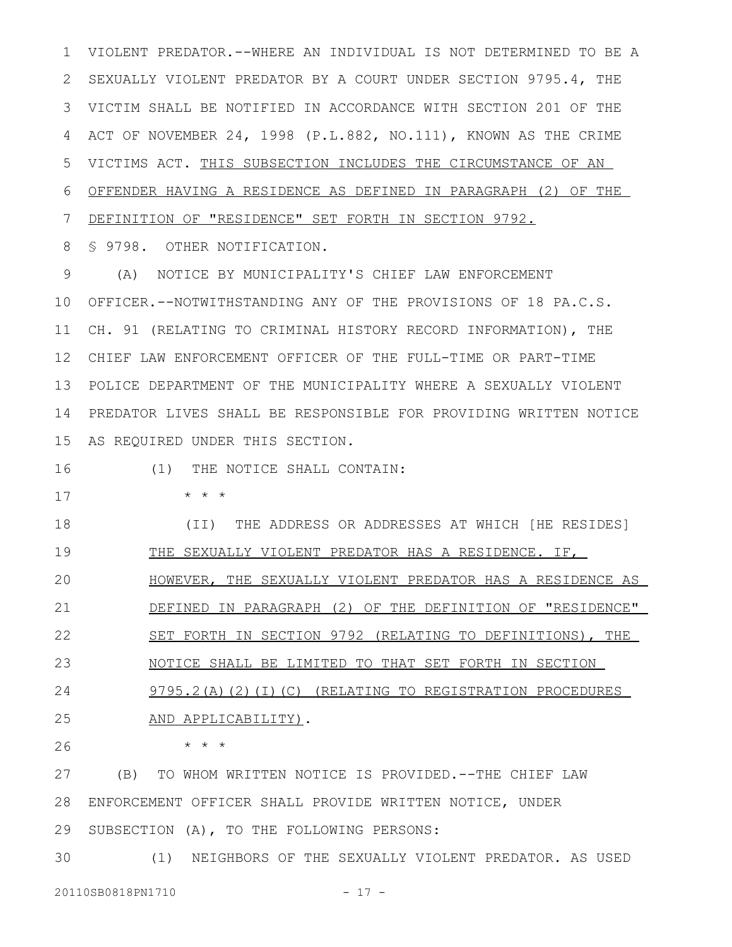VIOLENT PREDATOR.--WHERE AN INDIVIDUAL IS NOT DETERMINED TO BE A SEXUALLY VIOLENT PREDATOR BY A COURT UNDER SECTION 9795.4, THE VICTIM SHALL BE NOTIFIED IN ACCORDANCE WITH SECTION 201 OF THE 3 ACT OF NOVEMBER 24, 1998 (P.L.882, NO.111), KNOWN AS THE CRIME VICTIMS ACT. THIS SUBSECTION INCLUDES THE CIRCUMSTANCE OF AN OFFENDER HAVING A RESIDENCE AS DEFINED IN PARAGRAPH (2) OF THE DEFINITION OF "RESIDENCE" SET FORTH IN SECTION 9792. 1 2 4 5 6 7

§ 9798. OTHER NOTIFICATION. 8

(A) NOTICE BY MUNICIPALITY'S CHIEF LAW ENFORCEMENT OFFICER.--NOTWITHSTANDING ANY OF THE PROVISIONS OF 18 PA.C.S. 10 11 CH. 91 (RELATING TO CRIMINAL HISTORY RECORD INFORMATION), THE CHIEF LAW ENFORCEMENT OFFICER OF THE FULL-TIME OR PART-TIME 12 POLICE DEPARTMENT OF THE MUNICIPALITY WHERE A SEXUALLY VIOLENT 13 14 PREDATOR LIVES SHALL BE RESPONSIBLE FOR PROVIDING WRITTEN NOTICE 15 AS REQUIRED UNDER THIS SECTION. 9

16

(1) THE NOTICE SHALL CONTAIN:

\* \* \* 17

(II) THE ADDRESS OR ADDRESSES AT WHICH [HE RESIDES] THE SEXUALLY VIOLENT PREDATOR HAS A RESIDENCE. IF, HOWEVER, THE SEXUALLY VIOLENT PREDATOR HAS A RESIDENCE AS DEFINED IN PARAGRAPH (2) OF THE DEFINITION OF "RESIDENCE" 18 19 20 21

SET FORTH IN SECTION 9792 (RELATING TO DEFINITIONS), THE 22

NOTICE SHALL BE LIMITED TO THAT SET FORTH IN SECTION 23

9795.2(A)(2)(I)(C) (RELATING TO REGISTRATION PROCEDURES AND APPLICABILITY). 24 25

26

\* \* \*

(B) TO WHOM WRITTEN NOTICE IS PROVIDED.--THE CHIEF LAW ENFORCEMENT OFFICER SHALL PROVIDE WRITTEN NOTICE, UNDER 28 SUBSECTION (A), TO THE FOLLOWING PERSONS: 27 29

(1) NEIGHBORS OF THE SEXUALLY VIOLENT PREDATOR. AS USED 30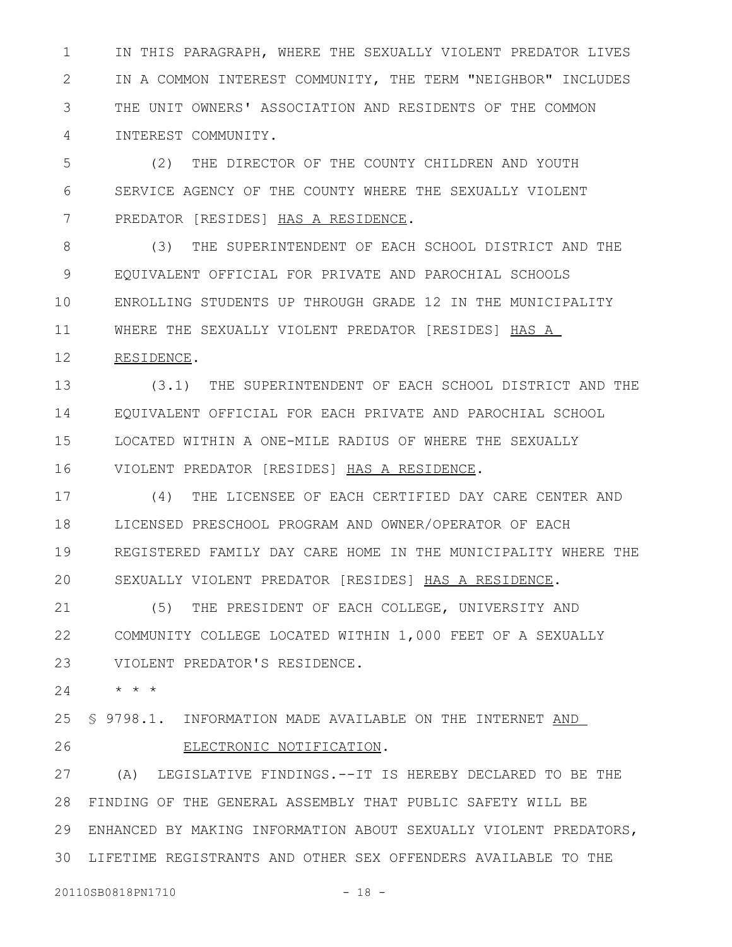IN THIS PARAGRAPH, WHERE THE SEXUALLY VIOLENT PREDATOR LIVES IN A COMMON INTEREST COMMUNITY, THE TERM "NEIGHBOR" INCLUDES THE UNIT OWNERS' ASSOCIATION AND RESIDENTS OF THE COMMON INTEREST COMMUNITY. 1 2 3 4

(2) THE DIRECTOR OF THE COUNTY CHILDREN AND YOUTH SERVICE AGENCY OF THE COUNTY WHERE THE SEXUALLY VIOLENT PREDATOR [RESIDES] HAS A RESIDENCE. 5 6 7

(3) THE SUPERINTENDENT OF EACH SCHOOL DISTRICT AND THE EQUIVALENT OFFICIAL FOR PRIVATE AND PAROCHIAL SCHOOLS ENROLLING STUDENTS UP THROUGH GRADE 12 IN THE MUNICIPALITY WHERE THE SEXUALLY VIOLENT PREDATOR [RESIDES] HAS A 8 9 10 11

RESIDENCE. 12

(3.1) THE SUPERINTENDENT OF EACH SCHOOL DISTRICT AND THE EQUIVALENT OFFICIAL FOR EACH PRIVATE AND PAROCHIAL SCHOOL LOCATED WITHIN A ONE-MILE RADIUS OF WHERE THE SEXUALLY VIOLENT PREDATOR [RESIDES] HAS A RESIDENCE. 13 14 15 16

(4) THE LICENSEE OF EACH CERTIFIED DAY CARE CENTER AND LICENSED PRESCHOOL PROGRAM AND OWNER/OPERATOR OF EACH REGISTERED FAMILY DAY CARE HOME IN THE MUNICIPALITY WHERE THE SEXUALLY VIOLENT PREDATOR [RESIDES] HAS A RESIDENCE. 17 18 19 20

(5) THE PRESIDENT OF EACH COLLEGE, UNIVERSITY AND COMMUNITY COLLEGE LOCATED WITHIN 1,000 FEET OF A SEXUALLY VIOLENT PREDATOR'S RESIDENCE. 21 22 23

\* \* \* 24

§ 9798.1. INFORMATION MADE AVAILABLE ON THE INTERNET AND 25

26

ELECTRONIC NOTIFICATION.

(A) LEGISLATIVE FINDINGS.--IT IS HEREBY DECLARED TO BE THE FINDING OF THE GENERAL ASSEMBLY THAT PUBLIC SAFETY WILL BE 28 ENHANCED BY MAKING INFORMATION ABOUT SEXUALLY VIOLENT PREDATORS, LIFETIME REGISTRANTS AND OTHER SEX OFFENDERS AVAILABLE TO THE 27 29 30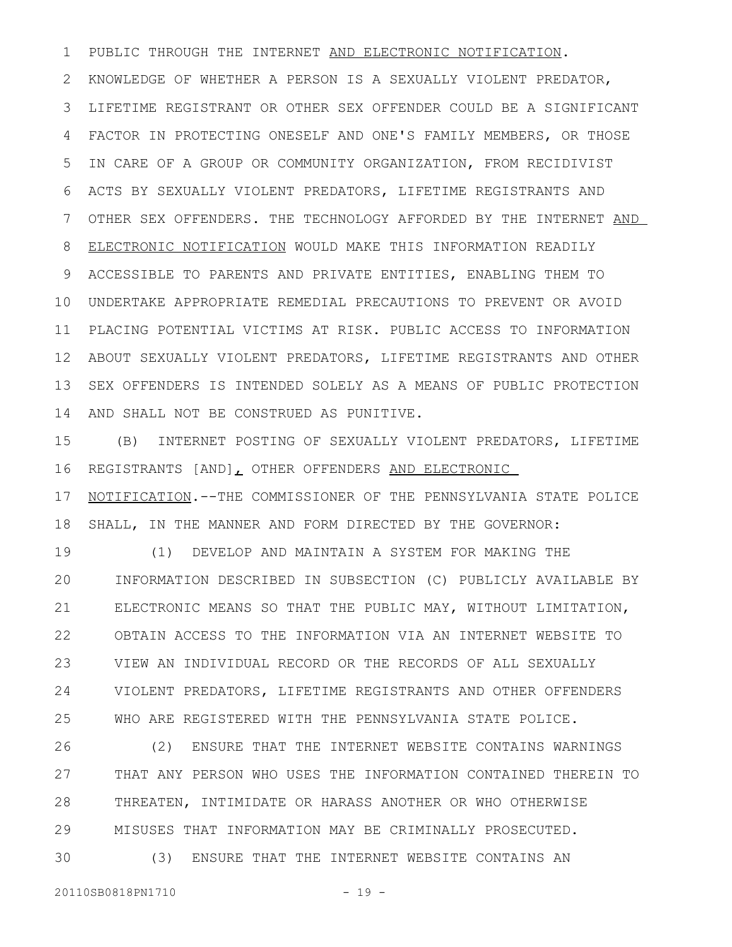PUBLIC THROUGH THE INTERNET AND ELECTRONIC NOTIFICATION. KNOWLEDGE OF WHETHER A PERSON IS A SEXUALLY VIOLENT PREDATOR, LIFETIME REGISTRANT OR OTHER SEX OFFENDER COULD BE A SIGNIFICANT FACTOR IN PROTECTING ONESELF AND ONE'S FAMILY MEMBERS, OR THOSE IN CARE OF A GROUP OR COMMUNITY ORGANIZATION, FROM RECIDIVIST ACTS BY SEXUALLY VIOLENT PREDATORS, LIFETIME REGISTRANTS AND OTHER SEX OFFENDERS. THE TECHNOLOGY AFFORDED BY THE INTERNET AND ELECTRONIC NOTIFICATION WOULD MAKE THIS INFORMATION READILY ACCESSIBLE TO PARENTS AND PRIVATE ENTITIES, ENABLING THEM TO UNDERTAKE APPROPRIATE REMEDIAL PRECAUTIONS TO PREVENT OR AVOID 10 PLACING POTENTIAL VICTIMS AT RISK. PUBLIC ACCESS TO INFORMATION ABOUT SEXUALLY VIOLENT PREDATORS, LIFETIME REGISTRANTS AND OTHER 12 SEX OFFENDERS IS INTENDED SOLELY AS A MEANS OF PUBLIC PROTECTION AND SHALL NOT BE CONSTRUED AS PUNITIVE. 1 2 3 4 5 6 7 8 9 11 13 14

(B) INTERNET POSTING OF SEXUALLY VIOLENT PREDATORS, LIFETIME REGISTRANTS [AND], OTHER OFFENDERS AND ELECTRONIC 15 16

NOTIFICATION.--THE COMMISSIONER OF THE PENNSYLVANIA STATE POLICE SHALL, IN THE MANNER AND FORM DIRECTED BY THE GOVERNOR: 17 18

(1) DEVELOP AND MAINTAIN A SYSTEM FOR MAKING THE INFORMATION DESCRIBED IN SUBSECTION (C) PUBLICLY AVAILABLE BY ELECTRONIC MEANS SO THAT THE PUBLIC MAY, WITHOUT LIMITATION, OBTAIN ACCESS TO THE INFORMATION VIA AN INTERNET WEBSITE TO VIEW AN INDIVIDUAL RECORD OR THE RECORDS OF ALL SEXUALLY VIOLENT PREDATORS, LIFETIME REGISTRANTS AND OTHER OFFENDERS WHO ARE REGISTERED WITH THE PENNSYLVANIA STATE POLICE. 19 20 21 22 23 24 25

(2) ENSURE THAT THE INTERNET WEBSITE CONTAINS WARNINGS THAT ANY PERSON WHO USES THE INFORMATION CONTAINED THEREIN TO THREATEN, INTIMIDATE OR HARASS ANOTHER OR WHO OTHERWISE MISUSES THAT INFORMATION MAY BE CRIMINALLY PROSECUTED. (3) ENSURE THAT THE INTERNET WEBSITE CONTAINS AN 26 27 28 29 30

20110SB0818PN1710 - 19 -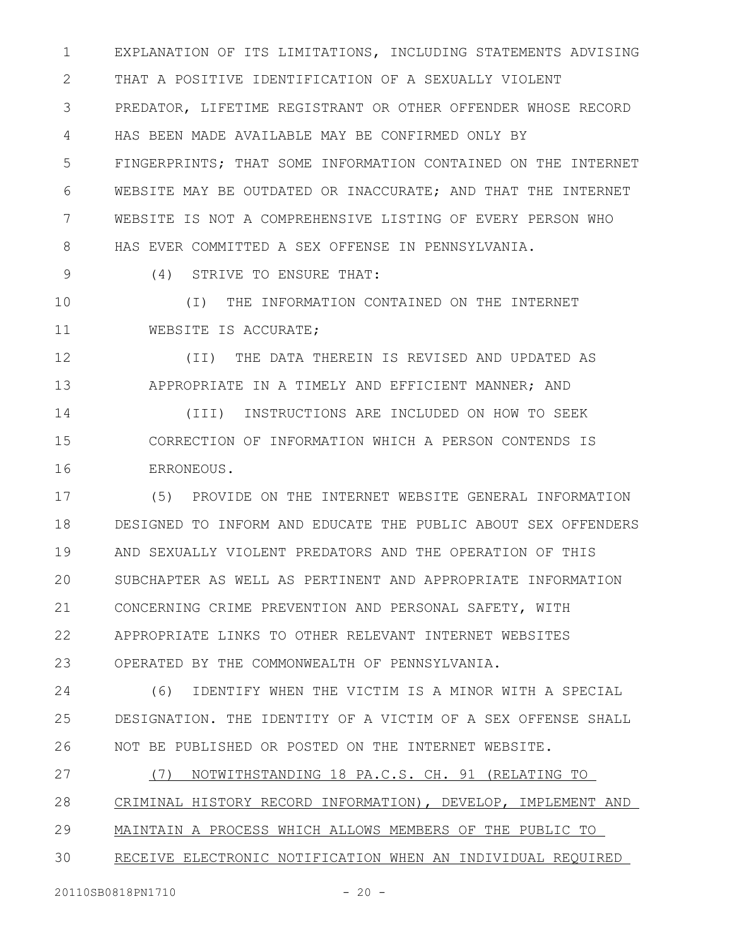EXPLANATION OF ITS LIMITATIONS, INCLUDING STATEMENTS ADVISING THAT A POSITIVE IDENTIFICATION OF A SEXUALLY VIOLENT PREDATOR, LIFETIME REGISTRANT OR OTHER OFFENDER WHOSE RECORD HAS BEEN MADE AVAILABLE MAY BE CONFIRMED ONLY BY FINGERPRINTS; THAT SOME INFORMATION CONTAINED ON THE INTERNET WEBSITE MAY BE OUTDATED OR INACCURATE; AND THAT THE INTERNET WEBSITE IS NOT A COMPREHENSIVE LISTING OF EVERY PERSON WHO HAS EVER COMMITTED A SEX OFFENSE IN PENNSYLVANIA. 1 2 3 4 5 6 7 8

(4) STRIVE TO ENSURE THAT: 9

(I) THE INFORMATION CONTAINED ON THE INTERNET WEBSITE IS ACCURATE; 10 11

(II) THE DATA THEREIN IS REVISED AND UPDATED AS APPROPRIATE IN A TIMELY AND EFFICIENT MANNER; AND 12 13

(III) INSTRUCTIONS ARE INCLUDED ON HOW TO SEEK CORRECTION OF INFORMATION WHICH A PERSON CONTENDS IS ERRONEOUS. 14 15 16

(5) PROVIDE ON THE INTERNET WEBSITE GENERAL INFORMATION DESIGNED TO INFORM AND EDUCATE THE PUBLIC ABOUT SEX OFFENDERS AND SEXUALLY VIOLENT PREDATORS AND THE OPERATION OF THIS SUBCHAPTER AS WELL AS PERTINENT AND APPROPRIATE INFORMATION CONCERNING CRIME PREVENTION AND PERSONAL SAFETY, WITH APPROPRIATE LINKS TO OTHER RELEVANT INTERNET WEBSITES OPERATED BY THE COMMONWEALTH OF PENNSYLVANIA. 17 18 19 20 21 22 23

(6) IDENTIFY WHEN THE VICTIM IS A MINOR WITH A SPECIAL DESIGNATION. THE IDENTITY OF A VICTIM OF A SEX OFFENSE SHALL NOT BE PUBLISHED OR POSTED ON THE INTERNET WEBSITE. 24 25 26

(7) NOTWITHSTANDING 18 PA.C.S. CH. 91 (RELATING TO CRIMINAL HISTORY RECORD INFORMATION), DEVELOP, IMPLEMENT AND MAINTAIN A PROCESS WHICH ALLOWS MEMBERS OF THE PUBLIC TO 27 28 29

RECEIVE ELECTRONIC NOTIFICATION WHEN AN INDIVIDUAL REQUIRED 30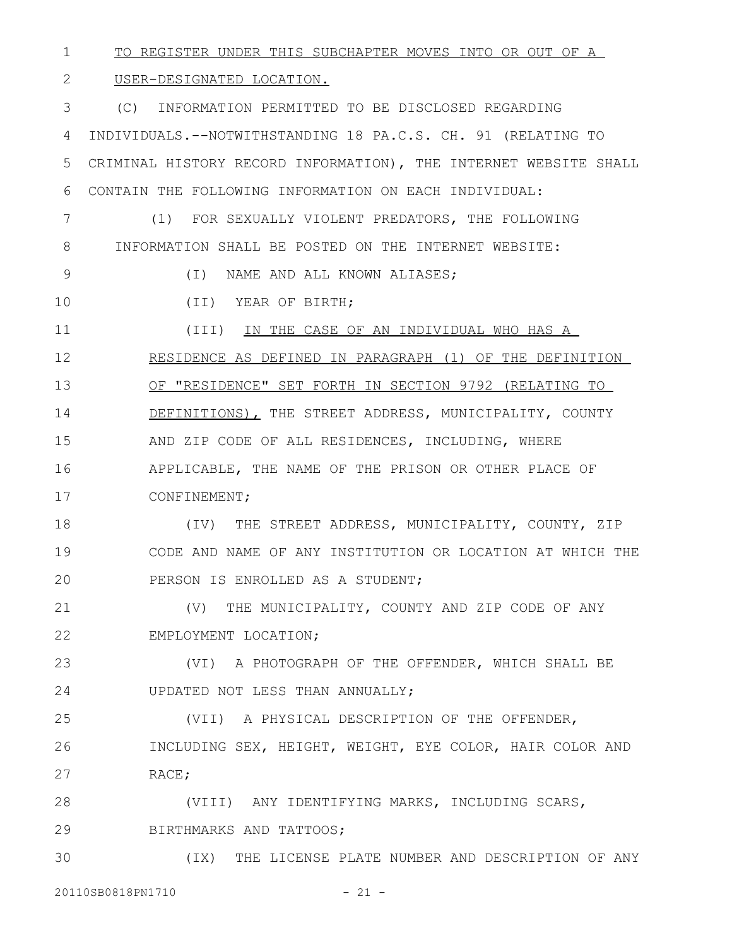TO REGISTER UNDER THIS SUBCHAPTER MOVES INTO OR OUT OF A 1

## USER-DESIGNATED LOCATION. 2

(C) INFORMATION PERMITTED TO BE DISCLOSED REGARDING INDIVIDUALS.--NOTWITHSTANDING 18 PA.C.S. CH. 91 (RELATING TO CRIMINAL HISTORY RECORD INFORMATION), THE INTERNET WEBSITE SHALL CONTAIN THE FOLLOWING INFORMATION ON EACH INDIVIDUAL: (1) FOR SEXUALLY VIOLENT PREDATORS, THE FOLLOWING INFORMATION SHALL BE POSTED ON THE INTERNET WEBSITE: (I) NAME AND ALL KNOWN ALIASES; (II) YEAR OF BIRTH; (III) IN THE CASE OF AN INDIVIDUAL WHO HAS A RESIDENCE AS DEFINED IN PARAGRAPH (1) OF THE DEFINITION OF "RESIDENCE" SET FORTH IN SECTION 9792 (RELATING TO DEFINITIONS), THE STREET ADDRESS, MUNICIPALITY, COUNTY AND ZIP CODE OF ALL RESIDENCES, INCLUDING, WHERE APPLICABLE, THE NAME OF THE PRISON OR OTHER PLACE OF CONFINEMENT; (IV) THE STREET ADDRESS, MUNICIPALITY, COUNTY, ZIP CODE AND NAME OF ANY INSTITUTION OR LOCATION AT WHICH THE 3 4 5 6 7 8 9 10 11 12 13 14 15 16 17 18 19

PERSON IS ENROLLED AS A STUDENT; 20

(V) THE MUNICIPALITY, COUNTY AND ZIP CODE OF ANY EMPLOYMENT LOCATION; 21 22

(VI) A PHOTOGRAPH OF THE OFFENDER, WHICH SHALL BE UPDATED NOT LESS THAN ANNUALLY; 23 24

(VII) A PHYSICAL DESCRIPTION OF THE OFFENDER, INCLUDING SEX, HEIGHT, WEIGHT, EYE COLOR, HAIR COLOR AND RACE; 25 26 27

(VIII) ANY IDENTIFYING MARKS, INCLUDING SCARS, BIRTHMARKS AND TATTOOS; 28 29

(IX) THE LICENSE PLATE NUMBER AND DESCRIPTION OF ANY 30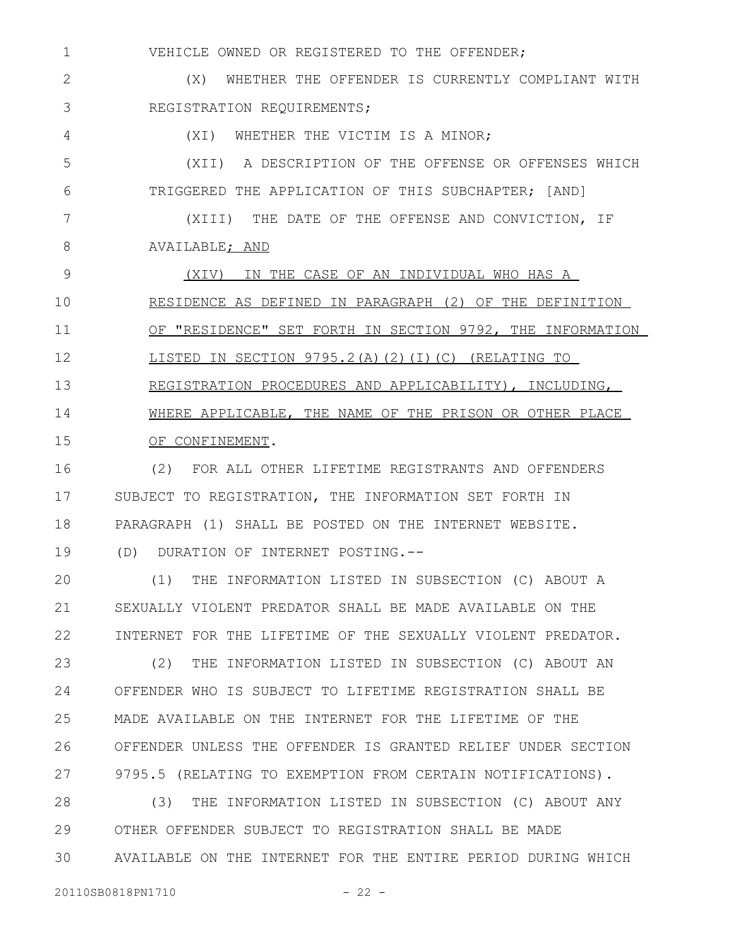VEHICLE OWNED OR REGISTERED TO THE OFFENDER; (X) WHETHER THE OFFENDER IS CURRENTLY COMPLIANT WITH 1 2

REGISTRATION REQUIREMENTS; 3

4

(XI) WHETHER THE VICTIM IS A MINOR;

(XII) A DESCRIPTION OF THE OFFENSE OR OFFENSES WHICH TRIGGERED THE APPLICATION OF THIS SUBCHAPTER; [AND] 5 6

(XIII) THE DATE OF THE OFFENSE AND CONVICTION, IF AVAILABLE; AND 7 8

(XIV) IN THE CASE OF AN INDIVIDUAL WHO HAS A RESIDENCE AS DEFINED IN PARAGRAPH (2) OF THE DEFINITION OF "RESIDENCE" SET FORTH IN SECTION 9792, THE INFORMATION LISTED IN SECTION 9795.2(A)(2)(I)(C) (RELATING TO REGISTRATION PROCEDURES AND APPLICABILITY), INCLUDING, WHERE APPLICABLE, THE NAME OF THE PRISON OR OTHER PLACE OF CONFINEMENT. 9 10 11 12 13 14 15

(2) FOR ALL OTHER LIFETIME REGISTRANTS AND OFFENDERS SUBJECT TO REGISTRATION, THE INFORMATION SET FORTH IN PARAGRAPH (1) SHALL BE POSTED ON THE INTERNET WEBSITE. (D) DURATION OF INTERNET POSTING.-- 16 17 18 19

(1) THE INFORMATION LISTED IN SUBSECTION (C) ABOUT A SEXUALLY VIOLENT PREDATOR SHALL BE MADE AVAILABLE ON THE INTERNET FOR THE LIFETIME OF THE SEXUALLY VIOLENT PREDATOR. 20 21 22

(2) THE INFORMATION LISTED IN SUBSECTION (C) ABOUT AN OFFENDER WHO IS SUBJECT TO LIFETIME REGISTRATION SHALL BE MADE AVAILABLE ON THE INTERNET FOR THE LIFETIME OF THE OFFENDER UNLESS THE OFFENDER IS GRANTED RELIEF UNDER SECTION 9795.5 (RELATING TO EXEMPTION FROM CERTAIN NOTIFICATIONS). 23 24 25 26 27

(3) THE INFORMATION LISTED IN SUBSECTION (C) ABOUT ANY OTHER OFFENDER SUBJECT TO REGISTRATION SHALL BE MADE AVAILABLE ON THE INTERNET FOR THE ENTIRE PERIOD DURING WHICH 28 29 30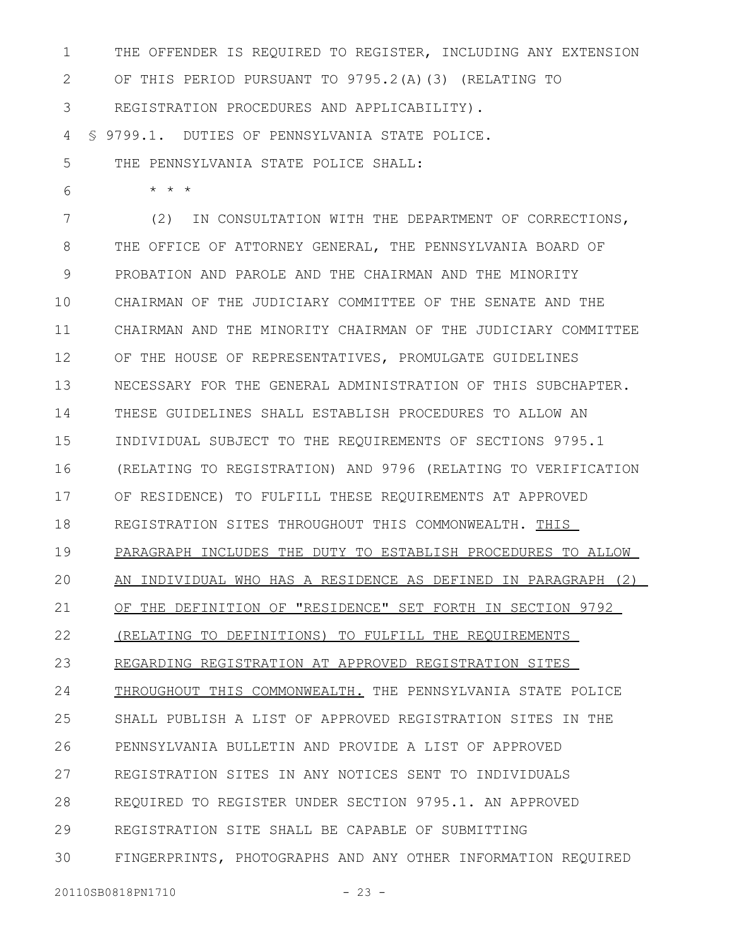THE OFFENDER IS REQUIRED TO REGISTER, INCLUDING ANY EXTENSION OF THIS PERIOD PURSUANT TO 9795.2(A)(3) (RELATING TO REGISTRATION PROCEDURES AND APPLICABILITY). § 9799.1. DUTIES OF PENNSYLVANIA STATE POLICE. 1 2 3 4

THE PENNSYLVANIA STATE POLICE SHALL: 5

\* \* \*

6

(2) IN CONSULTATION WITH THE DEPARTMENT OF CORRECTIONS, THE OFFICE OF ATTORNEY GENERAL, THE PENNSYLVANIA BOARD OF PROBATION AND PAROLE AND THE CHAIRMAN AND THE MINORITY CHAIRMAN OF THE JUDICIARY COMMITTEE OF THE SENATE AND THE CHAIRMAN AND THE MINORITY CHAIRMAN OF THE JUDICIARY COMMITTEE OF THE HOUSE OF REPRESENTATIVES, PROMULGATE GUIDELINES NECESSARY FOR THE GENERAL ADMINISTRATION OF THIS SUBCHAPTER. THESE GUIDELINES SHALL ESTABLISH PROCEDURES TO ALLOW AN INDIVIDUAL SUBJECT TO THE REQUIREMENTS OF SECTIONS 9795.1 (RELATING TO REGISTRATION) AND 9796 (RELATING TO VERIFICATION OF RESIDENCE) TO FULFILL THESE REQUIREMENTS AT APPROVED REGISTRATION SITES THROUGHOUT THIS COMMONWEALTH. THIS PARAGRAPH INCLUDES THE DUTY TO ESTABLISH PROCEDURES TO ALLOW AN INDIVIDUAL WHO HAS A RESIDENCE AS DEFINED IN PARAGRAPH (2) OF THE DEFINITION OF "RESIDENCE" SET FORTH IN SECTION 9792 (RELATING TO DEFINITIONS) TO FULFILL THE REQUIREMENTS REGARDING REGISTRATION AT APPROVED REGISTRATION SITES THROUGHOUT THIS COMMONWEALTH. THE PENNSYLVANIA STATE POLICE SHALL PUBLISH A LIST OF APPROVED REGISTRATION SITES IN THE PENNSYLVANIA BULLETIN AND PROVIDE A LIST OF APPROVED REGISTRATION SITES IN ANY NOTICES SENT TO INDIVIDUALS REQUIRED TO REGISTER UNDER SECTION 9795.1. AN APPROVED REGISTRATION SITE SHALL BE CAPABLE OF SUBMITTING FINGERPRINTS, PHOTOGRAPHS AND ANY OTHER INFORMATION REQUIRED 7 8 9 10 11 12 13 14 15 16 17 18 19 20 21 22 23 24 25 26 27 28 29 30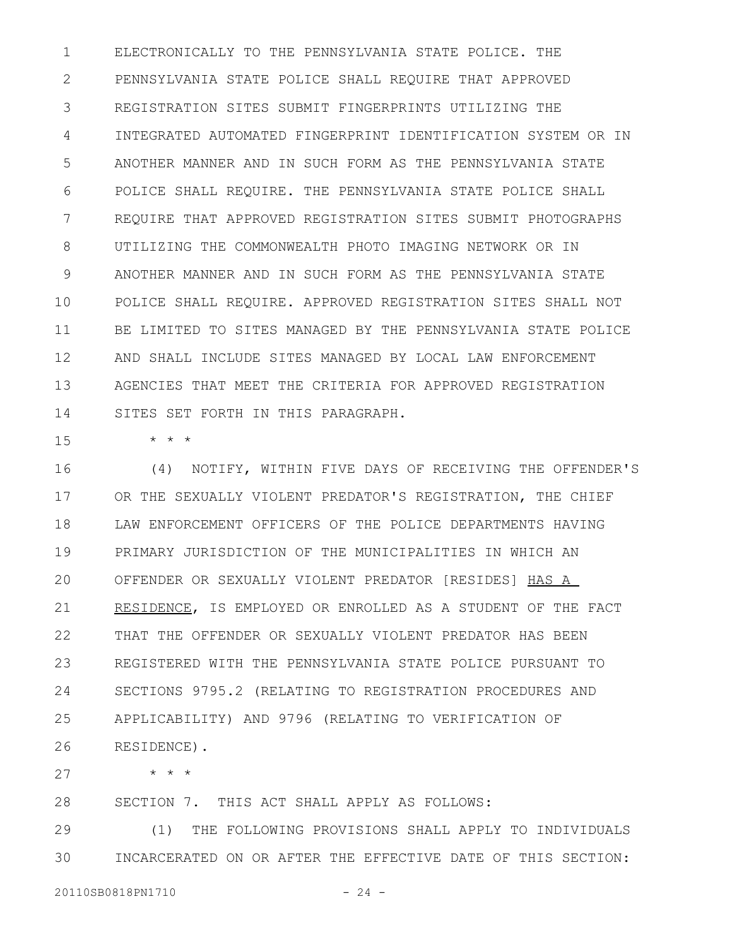ELECTRONICALLY TO THE PENNSYLVANIA STATE POLICE. THE PENNSYLVANIA STATE POLICE SHALL REQUIRE THAT APPROVED REGISTRATION SITES SUBMIT FINGERPRINTS UTILIZING THE INTEGRATED AUTOMATED FINGERPRINT IDENTIFICATION SYSTEM OR IN ANOTHER MANNER AND IN SUCH FORM AS THE PENNSYLVANIA STATE POLICE SHALL REQUIRE. THE PENNSYLVANIA STATE POLICE SHALL REQUIRE THAT APPROVED REGISTRATION SITES SUBMIT PHOTOGRAPHS UTILIZING THE COMMONWEALTH PHOTO IMAGING NETWORK OR IN ANOTHER MANNER AND IN SUCH FORM AS THE PENNSYLVANIA STATE POLICE SHALL REQUIRE. APPROVED REGISTRATION SITES SHALL NOT BE LIMITED TO SITES MANAGED BY THE PENNSYLVANIA STATE POLICE AND SHALL INCLUDE SITES MANAGED BY LOCAL LAW ENFORCEMENT AGENCIES THAT MEET THE CRITERIA FOR APPROVED REGISTRATION SITES SET FORTH IN THIS PARAGRAPH. 1 2 3 4 5 6 7 8 9 10 11 12 13 14

15

\* \* \*

\* \* \*

(4) NOTIFY, WITHIN FIVE DAYS OF RECEIVING THE OFFENDER'S OR THE SEXUALLY VIOLENT PREDATOR'S REGISTRATION, THE CHIEF LAW ENFORCEMENT OFFICERS OF THE POLICE DEPARTMENTS HAVING PRIMARY JURISDICTION OF THE MUNICIPALITIES IN WHICH AN OFFENDER OR SEXUALLY VIOLENT PREDATOR [RESIDES] HAS A RESIDENCE, IS EMPLOYED OR ENROLLED AS A STUDENT OF THE FACT THAT THE OFFENDER OR SEXUALLY VIOLENT PREDATOR HAS BEEN REGISTERED WITH THE PENNSYLVANIA STATE POLICE PURSUANT TO SECTIONS 9795.2 (RELATING TO REGISTRATION PROCEDURES AND APPLICABILITY) AND 9796 (RELATING TO VERIFICATION OF RESIDENCE). 16 17 18 19 20 21 22 23 24 25 26

27

SECTION 7. THIS ACT SHALL APPLY AS FOLLOWS: 28

(1) THE FOLLOWING PROVISIONS SHALL APPLY TO INDIVIDUALS INCARCERATED ON OR AFTER THE EFFECTIVE DATE OF THIS SECTION: 29 30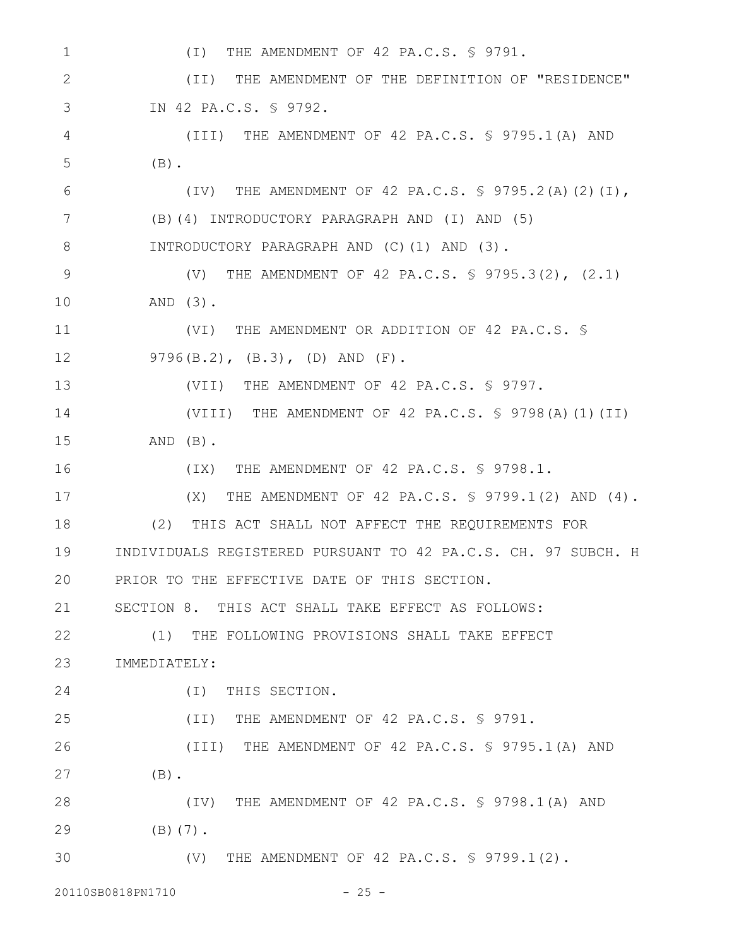| 1            | THE AMENDMENT OF 42 PA.C.S. § 9791.<br>$(\top)$                 |
|--------------|-----------------------------------------------------------------|
| $\mathbf{2}$ | THE AMENDMENT OF THE DEFINITION OF "RESIDENCE"<br>(TI)          |
| 3            | IN 42 PA.C.S. § 9792.                                           |
| 4            | (III) THE AMENDMENT OF 42 PA.C.S. § 9795.1(A) AND               |
| 5            | $(B)$ .                                                         |
| 6            | (IV) THE AMENDMENT OF 42 PA.C.S. § 9795.2(A)(2)(I),             |
| 7            | (B)(4) INTRODUCTORY PARAGRAPH AND (I) AND (5)                   |
| 8            | INTRODUCTORY PARAGRAPH AND (C)(1) AND (3).                      |
| $\mathsf 9$  | (V) THE AMENDMENT OF 42 PA.C.S. § 9795.3(2), (2.1)              |
| 10           | AND $(3)$ .                                                     |
| 11           | (VI) THE AMENDMENT OR ADDITION OF 42 PA.C.S. \$                 |
| 12           | $9796(B.2)$ , $(B.3)$ , $(D)$ AND $(F)$ .                       |
| 13           | (VII) THE AMENDMENT OF 42 PA.C.S. § 9797.                       |
| 14           | (VIII) THE AMENDMENT OF 42 PA.C.S. $\frac{1}{5}$ 9798(A)(1)(II) |
| 15           | $AND$ $(B)$ .                                                   |
| 16           | (IX) THE AMENDMENT OF 42 PA.C.S. § 9798.1.                      |
| 17           | THE AMENDMENT OF 42 PA.C.S. § 9799.1(2) AND (4).<br>(X)         |
| 18           | (2)<br>THIS ACT SHALL NOT AFFECT THE REQUIREMENTS FOR           |
| 19           | INDIVIDUALS REGISTERED PURSUANT TO 42 PA.C.S. CH. 97 SUBCH. H   |
| 20           | PRIOR TO THE EFFECTIVE DATE OF THIS SECTION.                    |
| 21           | SECTION 8. THIS ACT SHALL TAKE EFFECT AS FOLLOWS:               |
| 22           | (1) THE FOLLOWING PROVISIONS SHALL TAKE EFFECT                  |
| 23           | IMMEDIATELY:                                                    |
| 24           | (I) THIS SECTION.                                               |
| 25           | (II) THE AMENDMENT OF 42 PA.C.S. § 9791.                        |
| 26           | (III) THE AMENDMENT OF 42 PA.C.S. § 9795.1(A) AND               |
| 27           | $(B)$ .                                                         |
| 28           | (IV) THE AMENDMENT OF 42 PA.C.S. § 9798.1(A) AND                |
| 29           | $(B)$ $(7)$ .                                                   |
| 30           | (V) THE AMENDMENT OF 42 PA.C.S. § 9799.1(2).                    |
|              | 20110SB0818PN1710<br>$-25 -$                                    |